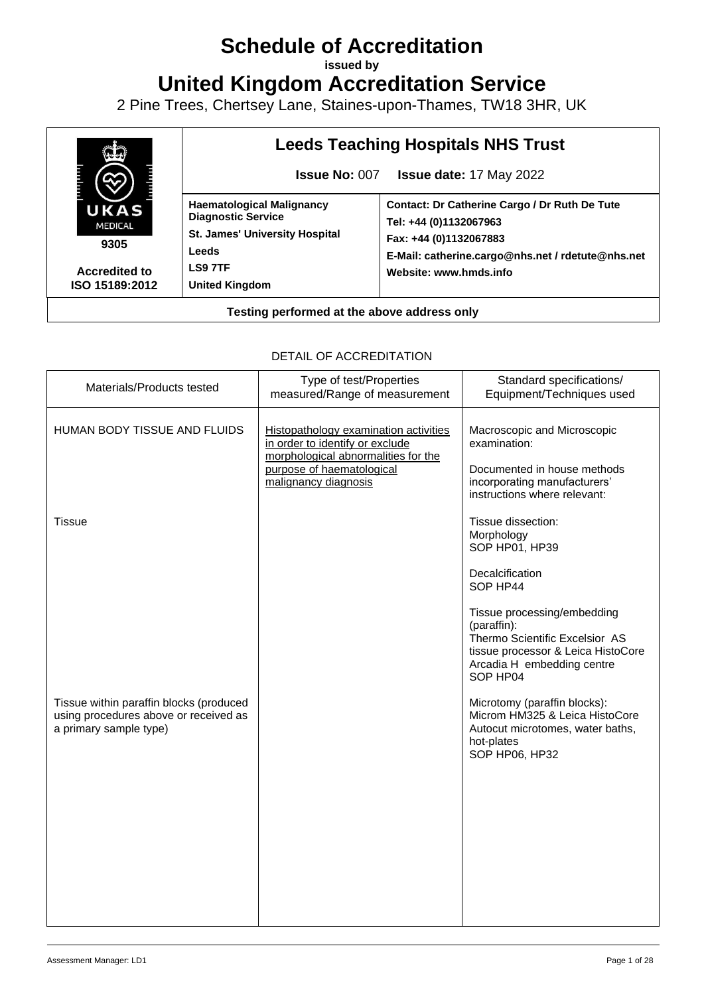# **Schedule of Accreditation**

**issued by**

**United Kingdom Accreditation Service**

2 Pine Trees, Chertsey Lane, Staines-upon-Thames, TW18 3HR, UK



### DETAIL OF ACCREDITATION

| Materials/Products tested                                                                                  | Type of test/Properties<br>measured/Range of measurement                                                                                                             | Standard specifications/<br>Equipment/Techniques used                                                                                                        |
|------------------------------------------------------------------------------------------------------------|----------------------------------------------------------------------------------------------------------------------------------------------------------------------|--------------------------------------------------------------------------------------------------------------------------------------------------------------|
| HUMAN BODY TISSUE AND FLUIDS                                                                               | Histopathology examination activities<br>in order to identify or exclude<br>morphological abnormalities for the<br>purpose of haematological<br>malignancy diagnosis | Macroscopic and Microscopic<br>examination:<br>Documented in house methods<br>incorporating manufacturers'<br>instructions where relevant:                   |
| <b>Tissue</b>                                                                                              |                                                                                                                                                                      | Tissue dissection:<br>Morphology<br>SOP HP01, HP39<br>Decalcification<br>SOP HP44                                                                            |
|                                                                                                            |                                                                                                                                                                      | Tissue processing/embedding<br>(paraffin):<br>Thermo Scientific Excelsior AS<br>tissue processor & Leica HistoCore<br>Arcadia H embedding centre<br>SOP HP04 |
| Tissue within paraffin blocks (produced<br>using procedures above or received as<br>a primary sample type) |                                                                                                                                                                      | Microtomy (paraffin blocks):<br>Microm HM325 & Leica HistoCore<br>Autocut microtomes, water baths,<br>hot-plates<br>SOP HP06, HP32                           |
|                                                                                                            |                                                                                                                                                                      |                                                                                                                                                              |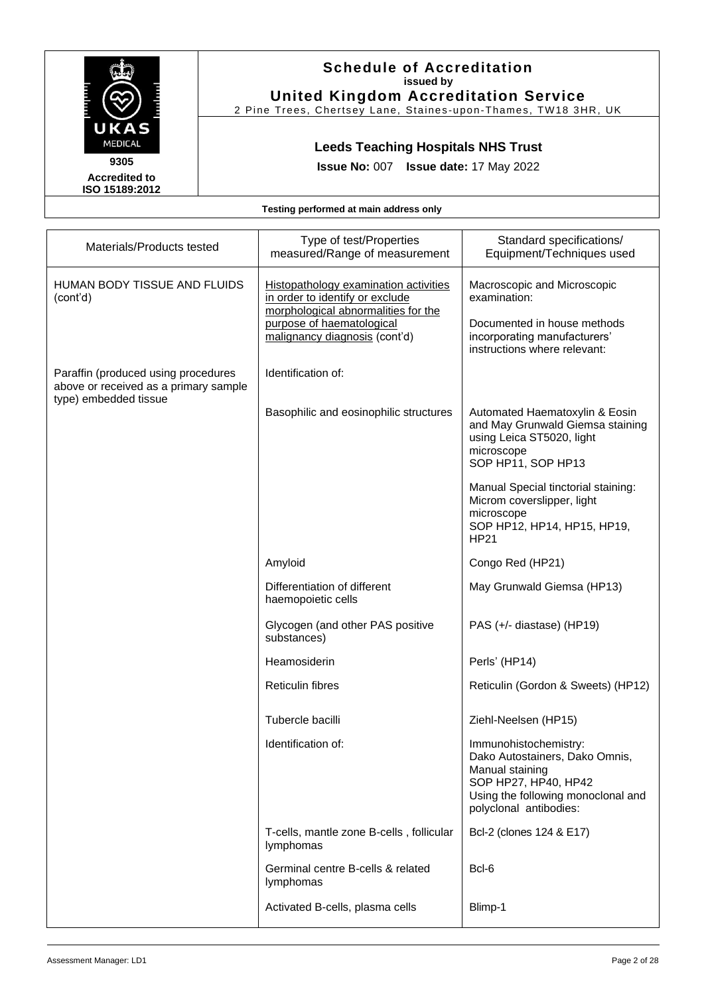

2 Pine Trees, Chertsey Lane, Staines -upon -Thames, TW18 3HR, UK

# **Leeds Teaching Hospitals NHS Trust**

**Issue No:** 007 **Issue date:** 17 May 2022

**ISO 15189:2012** 

| Materials/Products tested                                                                             | Type of test/Properties<br>measured/Range of measurement                                                                                                                             | Standard specifications/<br>Equipment/Techniques used                                                                                                              |
|-------------------------------------------------------------------------------------------------------|--------------------------------------------------------------------------------------------------------------------------------------------------------------------------------------|--------------------------------------------------------------------------------------------------------------------------------------------------------------------|
| HUMAN BODY TISSUE AND FLUIDS<br>(cont'd)                                                              | <b>Histopathology examination activities</b><br>in order to identify or exclude<br>morphological abnormalities for the<br>purpose of haematological<br>malignancy diagnosis (cont'd) | Macroscopic and Microscopic<br>examination:<br>Documented in house methods<br>incorporating manufacturers'<br>instructions where relevant:                         |
| Paraffin (produced using procedures<br>above or received as a primary sample<br>type) embedded tissue | Identification of:                                                                                                                                                                   |                                                                                                                                                                    |
|                                                                                                       | Basophilic and eosinophilic structures                                                                                                                                               | Automated Haematoxylin & Eosin<br>and May Grunwald Giemsa staining<br>using Leica ST5020, light<br>microscope<br>SOP HP11, SOP HP13                                |
|                                                                                                       |                                                                                                                                                                                      | Manual Special tinctorial staining:<br>Microm coverslipper, light<br>microscope<br>SOP HP12, HP14, HP15, HP19,<br><b>HP21</b>                                      |
|                                                                                                       | Amyloid                                                                                                                                                                              | Congo Red (HP21)                                                                                                                                                   |
|                                                                                                       | Differentiation of different<br>haemopoietic cells                                                                                                                                   | May Grunwald Giemsa (HP13)                                                                                                                                         |
|                                                                                                       | Glycogen (and other PAS positive<br>substances)                                                                                                                                      | PAS (+/- diastase) (HP19)                                                                                                                                          |
|                                                                                                       | Heamosiderin                                                                                                                                                                         | Perls' (HP14)                                                                                                                                                      |
|                                                                                                       | <b>Reticulin fibres</b>                                                                                                                                                              | Reticulin (Gordon & Sweets) (HP12)                                                                                                                                 |
|                                                                                                       | Tubercle bacilli                                                                                                                                                                     | Ziehl-Neelsen (HP15)                                                                                                                                               |
|                                                                                                       | Identification of:                                                                                                                                                                   | Immunohistochemistry:<br>Dako Autostainers, Dako Omnis,<br>Manual staining<br>SOP HP27, HP40, HP42<br>Using the following monoclonal and<br>polyclonal antibodies: |
|                                                                                                       | T-cells, mantle zone B-cells, follicular<br>lymphomas                                                                                                                                | Bcl-2 (clones 124 & E17)                                                                                                                                           |
|                                                                                                       | Germinal centre B-cells & related<br>lymphomas                                                                                                                                       | Bcl-6                                                                                                                                                              |
|                                                                                                       | Activated B-cells, plasma cells                                                                                                                                                      | Blimp-1                                                                                                                                                            |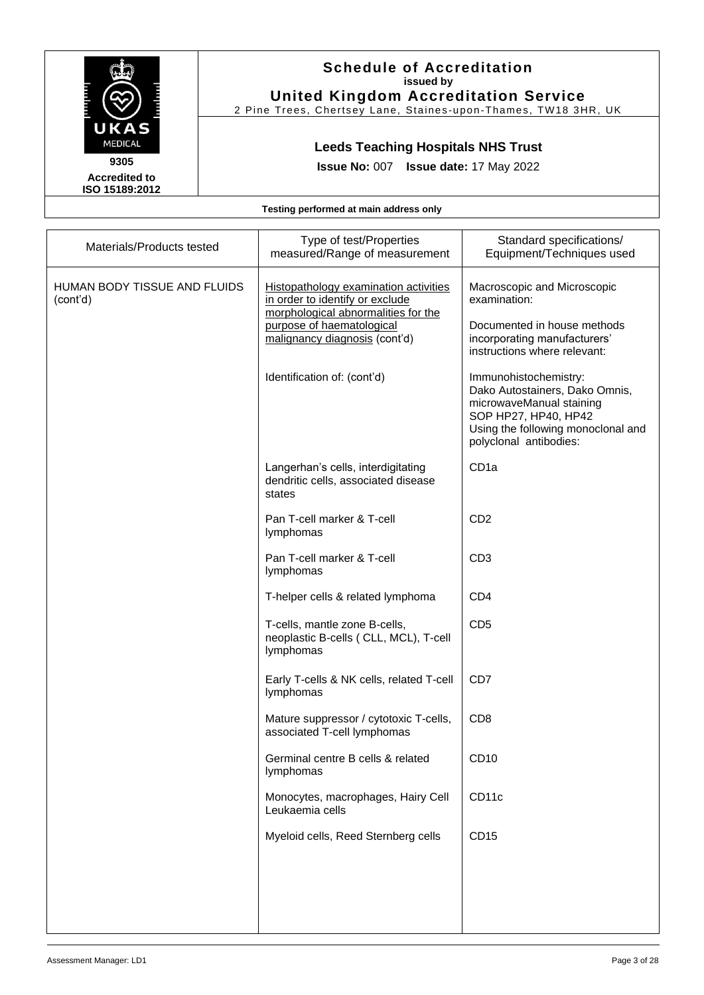

## **Schedule of Accreditation issued by United Kingdom Accreditation Service**

2 Pine Trees, Chertsey Lane, Staines-upon-Thames, TW18 3HR, UK

# **Leeds Teaching Hospitals NHS Trust**

**Issue No:** 007 **Issue date:** 17 May 2022

| Materials/Products tested                | Type of test/Properties<br>measured/Range of measurement                                                                                                                                                            | Standard specifications/<br>Equipment/Techniques used                                                                                                                                                                                                                                                                     |
|------------------------------------------|---------------------------------------------------------------------------------------------------------------------------------------------------------------------------------------------------------------------|---------------------------------------------------------------------------------------------------------------------------------------------------------------------------------------------------------------------------------------------------------------------------------------------------------------------------|
| HUMAN BODY TISSUE AND FLUIDS<br>(cont'd) | <b>Histopathology examination activities</b><br>in order to identify or exclude<br>morphological abnormalities for the<br>purpose of haematological<br>malignancy diagnosis (cont'd)<br>Identification of: (cont'd) | Macroscopic and Microscopic<br>examination:<br>Documented in house methods<br>incorporating manufacturers'<br>instructions where relevant:<br>Immunohistochemistry:<br>Dako Autostainers, Dako Omnis,<br>microwaveManual staining<br>SOP HP27, HP40, HP42<br>Using the following monoclonal and<br>polyclonal antibodies: |
|                                          | Langerhan's cells, interdigitating<br>dendritic cells, associated disease<br>states                                                                                                                                 | CD <sub>1a</sub>                                                                                                                                                                                                                                                                                                          |
|                                          | Pan T-cell marker & T-cell<br>lymphomas                                                                                                                                                                             | CD <sub>2</sub>                                                                                                                                                                                                                                                                                                           |
|                                          | Pan T-cell marker & T-cell<br>lymphomas                                                                                                                                                                             | CD <sub>3</sub>                                                                                                                                                                                                                                                                                                           |
|                                          | T-helper cells & related lymphoma                                                                                                                                                                                   | CD <sub>4</sub>                                                                                                                                                                                                                                                                                                           |
|                                          | T-cells, mantle zone B-cells,<br>neoplastic B-cells (CLL, MCL), T-cell<br>lymphomas                                                                                                                                 | CD <sub>5</sub>                                                                                                                                                                                                                                                                                                           |
|                                          | Early T-cells & NK cells, related T-cell<br>lymphomas                                                                                                                                                               | CD7                                                                                                                                                                                                                                                                                                                       |
|                                          | Mature suppressor / cytotoxic T-cells,<br>associated T-cell lymphomas                                                                                                                                               | CD <sub>8</sub>                                                                                                                                                                                                                                                                                                           |
|                                          | Germinal centre B cells & related<br>lymphomas                                                                                                                                                                      | CD <sub>10</sub>                                                                                                                                                                                                                                                                                                          |
|                                          | Monocytes, macrophages, Hairy Cell<br>Leukaemia cells                                                                                                                                                               | CD11c                                                                                                                                                                                                                                                                                                                     |
|                                          | Myeloid cells, Reed Sternberg cells                                                                                                                                                                                 | CD15                                                                                                                                                                                                                                                                                                                      |
|                                          |                                                                                                                                                                                                                     |                                                                                                                                                                                                                                                                                                                           |
|                                          |                                                                                                                                                                                                                     |                                                                                                                                                                                                                                                                                                                           |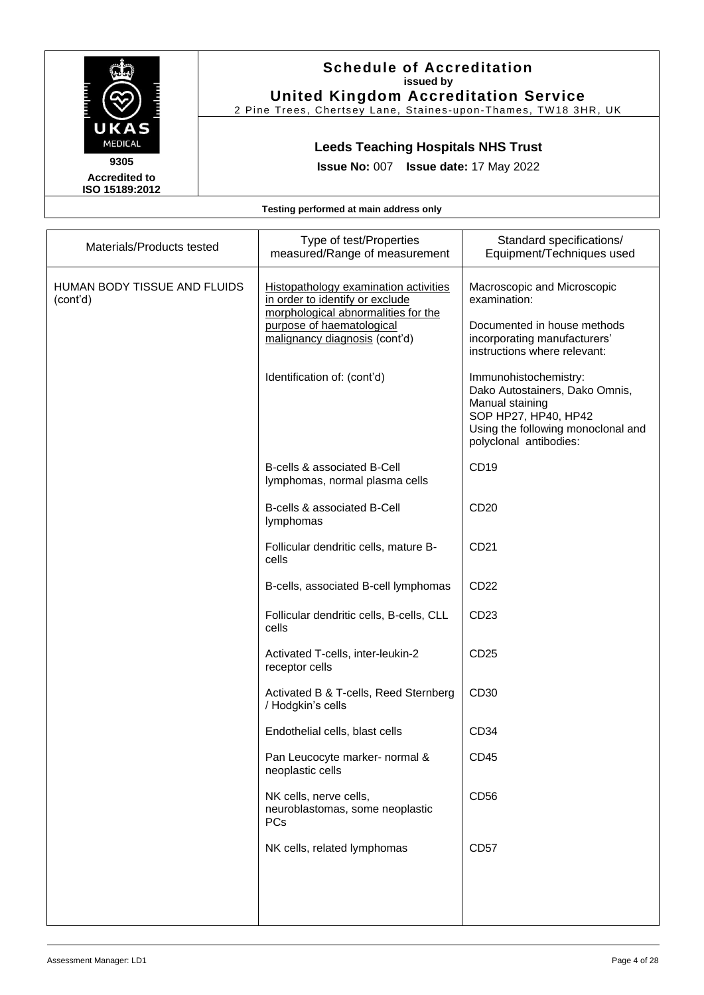

#### **Schedule of Accreditation issued by United Kingdom Accreditation Service**

2 Pine Trees, Chertsey Lane, Staines -upon -Thames, TW18 3HR, UK

# **Leeds Teaching Hospitals NHS Trust**

**Issue No:** 007 **Issue date:** 17 May 2022

| Materials/Products tested                | Type of test/Properties<br>measured/Range of measurement                                                                                                                                                     | Standard specifications/<br>Equipment/Techniques used                                                                                                                                                                                                                                                            |
|------------------------------------------|--------------------------------------------------------------------------------------------------------------------------------------------------------------------------------------------------------------|------------------------------------------------------------------------------------------------------------------------------------------------------------------------------------------------------------------------------------------------------------------------------------------------------------------|
| HUMAN BODY TISSUE AND FLUIDS<br>(cont'd) | Histopathology examination activities<br>in order to identify or exclude<br>morphological abnormalities for the<br>purpose of haematological<br>malignancy diagnosis (cont'd)<br>Identification of: (cont'd) | Macroscopic and Microscopic<br>examination:<br>Documented in house methods<br>incorporating manufacturers'<br>instructions where relevant:<br>Immunohistochemistry:<br>Dako Autostainers, Dako Omnis,<br>Manual staining<br>SOP HP27, HP40, HP42<br>Using the following monoclonal and<br>polyclonal antibodies: |
|                                          | B-cells & associated B-Cell<br>lymphomas, normal plasma cells                                                                                                                                                | CD19                                                                                                                                                                                                                                                                                                             |
|                                          | B-cells & associated B-Cell<br>lymphomas                                                                                                                                                                     | CD <sub>20</sub>                                                                                                                                                                                                                                                                                                 |
|                                          | Follicular dendritic cells, mature B-<br>cells                                                                                                                                                               | CD21                                                                                                                                                                                                                                                                                                             |
|                                          | B-cells, associated B-cell lymphomas                                                                                                                                                                         | CD22                                                                                                                                                                                                                                                                                                             |
|                                          | Follicular dendritic cells, B-cells, CLL<br>cells                                                                                                                                                            | CD <sub>23</sub>                                                                                                                                                                                                                                                                                                 |
|                                          | Activated T-cells, inter-leukin-2<br>receptor cells                                                                                                                                                          | CD <sub>25</sub>                                                                                                                                                                                                                                                                                                 |
|                                          | Activated B & T-cells, Reed Sternberg<br>/ Hodgkin's cells                                                                                                                                                   | CD30                                                                                                                                                                                                                                                                                                             |
|                                          | Endothelial cells, blast cells                                                                                                                                                                               | CD <sub>34</sub>                                                                                                                                                                                                                                                                                                 |
|                                          | Pan Leucocyte marker- normal &<br>neoplastic cells                                                                                                                                                           | CD45                                                                                                                                                                                                                                                                                                             |
|                                          | NK cells, nerve cells,<br>neuroblastomas, some neoplastic<br><b>PCs</b>                                                                                                                                      | CD56                                                                                                                                                                                                                                                                                                             |
|                                          | NK cells, related lymphomas                                                                                                                                                                                  | <b>CD57</b>                                                                                                                                                                                                                                                                                                      |
|                                          |                                                                                                                                                                                                              |                                                                                                                                                                                                                                                                                                                  |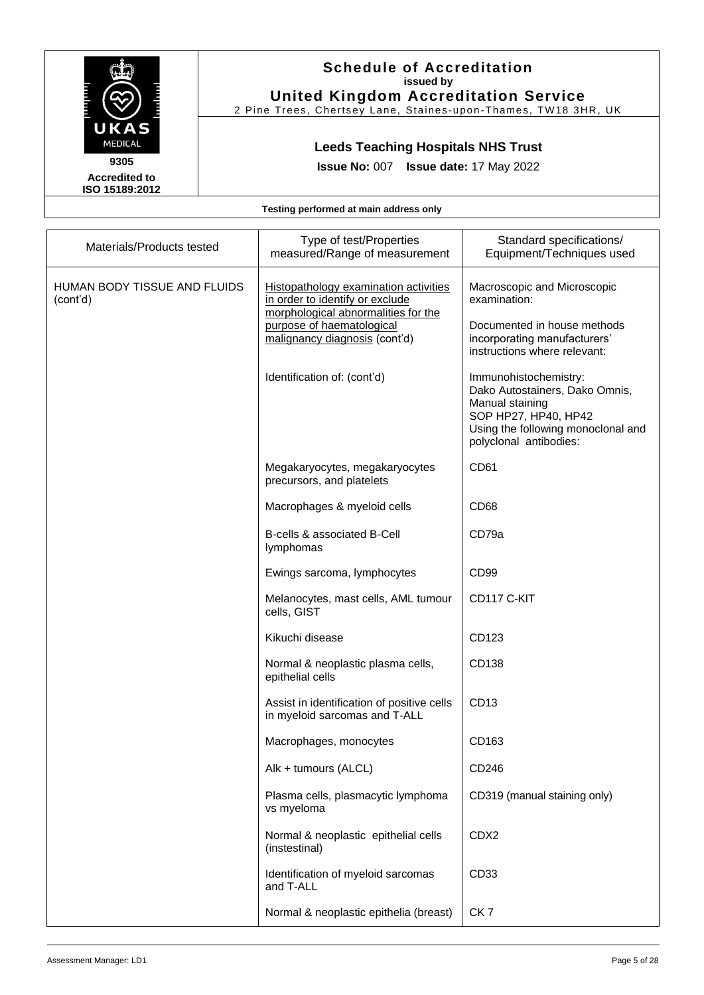

#### **Schedule of Accreditation issued by United Kingdom Accreditation Service**

2 Pine Trees, Chertsey Lane, Staines -upon -Thames, TW18 3HR, UK

# **Leeds Teaching Hospitals NHS Trust**

**Issue No:** 007 **Issue date:** 17 May 2022

| Materials/Products tested                | Type of test/Properties<br>measured/Range of measurement                                                               | Standard specifications/<br>Equipment/Techniques used                                                                                                              |
|------------------------------------------|------------------------------------------------------------------------------------------------------------------------|--------------------------------------------------------------------------------------------------------------------------------------------------------------------|
| HUMAN BODY TISSUE AND FLUIDS<br>(cont'd) | <b>Histopathology examination activities</b><br>in order to identify or exclude<br>morphological abnormalities for the | Macroscopic and Microscopic<br>examination:                                                                                                                        |
|                                          | purpose of haematological<br>malignancy diagnosis (cont'd)                                                             | Documented in house methods<br>incorporating manufacturers'<br>instructions where relevant:                                                                        |
|                                          | Identification of: (cont'd)                                                                                            | Immunohistochemistry:<br>Dako Autostainers, Dako Omnis,<br>Manual staining<br>SOP HP27, HP40, HP42<br>Using the following monoclonal and<br>polyclonal antibodies: |
|                                          | Megakaryocytes, megakaryocytes<br>precursors, and platelets                                                            | CD61                                                                                                                                                               |
|                                          | Macrophages & myeloid cells                                                                                            | CD68                                                                                                                                                               |
|                                          | B-cells & associated B-Cell<br>lymphomas                                                                               | CD79a                                                                                                                                                              |
|                                          | Ewings sarcoma, lymphocytes                                                                                            | CD <sub>99</sub>                                                                                                                                                   |
|                                          | Melanocytes, mast cells, AML tumour<br>cells, GIST                                                                     | CD117 C-KIT                                                                                                                                                        |
|                                          | Kikuchi disease                                                                                                        | CD123                                                                                                                                                              |
|                                          | Normal & neoplastic plasma cells,<br>epithelial cells                                                                  | CD138                                                                                                                                                              |
|                                          | Assist in identification of positive cells<br>in myeloid sarcomas and T-ALL                                            | CD <sub>13</sub>                                                                                                                                                   |
|                                          | Macrophages, monocytes                                                                                                 | CD163                                                                                                                                                              |
|                                          | Alk + tumours (ALCL)                                                                                                   | CD246                                                                                                                                                              |
|                                          | Plasma cells, plasmacytic lymphoma<br>vs myeloma                                                                       | CD319 (manual staining only)                                                                                                                                       |
|                                          | Normal & neoplastic epithelial cells<br>(instestinal)                                                                  | CDX2                                                                                                                                                               |
|                                          | Identification of myeloid sarcomas<br>and T-ALL                                                                        | CD <sub>33</sub>                                                                                                                                                   |
|                                          | Normal & neoplastic epithelia (breast)                                                                                 | CK <sub>7</sub>                                                                                                                                                    |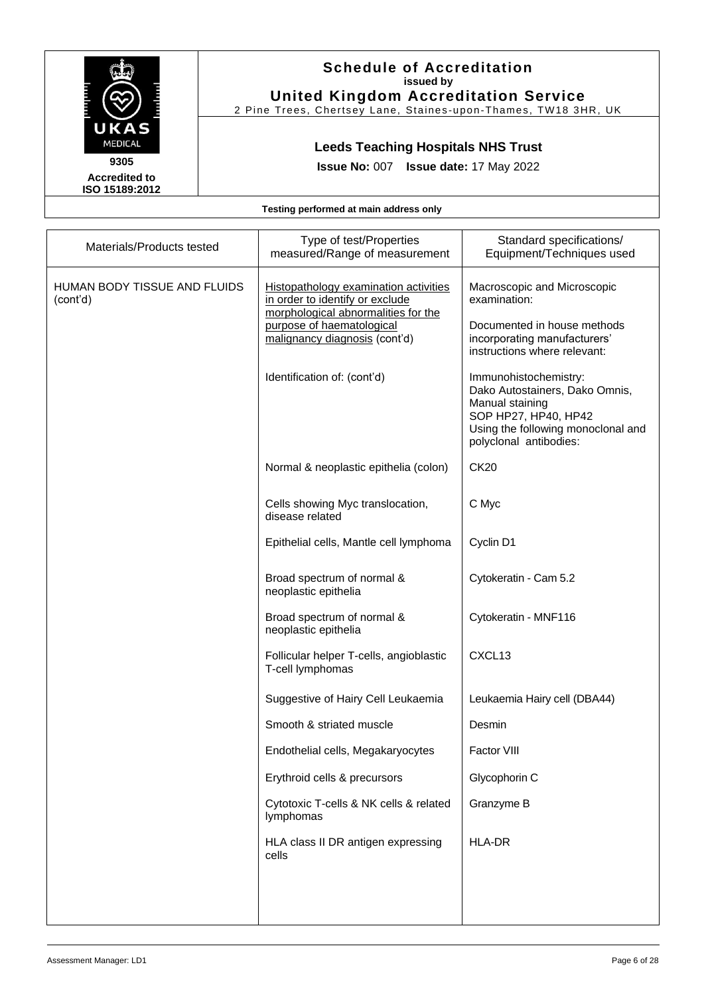

#### **Schedule of Accreditation issued by United Kingdom Accreditation Service**

2 Pine Trees, Chertsey Lane, Staines -upon -Thames, TW18 3HR, UK

# **Leeds Teaching Hospitals NHS Trust**

**Issue No:** 007 **Issue date:** 17 May 2022

| Materials/Products tested                | Type of test/Properties<br>measured/Range of measurement                                                                                                                      | Standard specifications/<br>Equipment/Techniques used                                                                                                              |
|------------------------------------------|-------------------------------------------------------------------------------------------------------------------------------------------------------------------------------|--------------------------------------------------------------------------------------------------------------------------------------------------------------------|
| HUMAN BODY TISSUE AND FLUIDS<br>(cont'd) | Histopathology examination activities<br>in order to identify or exclude<br>morphological abnormalities for the<br>purpose of haematological<br>malignancy diagnosis (cont'd) | Macroscopic and Microscopic<br>examination:<br>Documented in house methods<br>incorporating manufacturers'<br>instructions where relevant:                         |
|                                          | Identification of: (cont'd)                                                                                                                                                   | Immunohistochemistry:<br>Dako Autostainers, Dako Omnis,<br>Manual staining<br>SOP HP27, HP40, HP42<br>Using the following monoclonal and<br>polyclonal antibodies: |
|                                          | Normal & neoplastic epithelia (colon)                                                                                                                                         | <b>CK20</b>                                                                                                                                                        |
|                                          | Cells showing Myc translocation,<br>disease related                                                                                                                           | C Myc                                                                                                                                                              |
|                                          | Epithelial cells, Mantle cell lymphoma                                                                                                                                        | Cyclin D1                                                                                                                                                          |
|                                          | Broad spectrum of normal &<br>neoplastic epithelia                                                                                                                            | Cytokeratin - Cam 5.2                                                                                                                                              |
|                                          | Broad spectrum of normal &<br>neoplastic epithelia                                                                                                                            | Cytokeratin - MNF116                                                                                                                                               |
|                                          | Follicular helper T-cells, angioblastic<br>T-cell lymphomas                                                                                                                   | CXCL13                                                                                                                                                             |
|                                          | Suggestive of Hairy Cell Leukaemia                                                                                                                                            | Leukaemia Hairy cell (DBA44)                                                                                                                                       |
|                                          | Smooth & striated muscle                                                                                                                                                      | Desmin                                                                                                                                                             |
|                                          | Endothelial cells, Megakaryocytes                                                                                                                                             | Factor VIII                                                                                                                                                        |
|                                          | Erythroid cells & precursors                                                                                                                                                  | Glycophorin C                                                                                                                                                      |
|                                          | Cytotoxic T-cells & NK cells & related<br>lymphomas                                                                                                                           | Granzyme B                                                                                                                                                         |
|                                          | HLA class II DR antigen expressing<br>cells                                                                                                                                   | <b>HLA-DR</b>                                                                                                                                                      |
|                                          |                                                                                                                                                                               |                                                                                                                                                                    |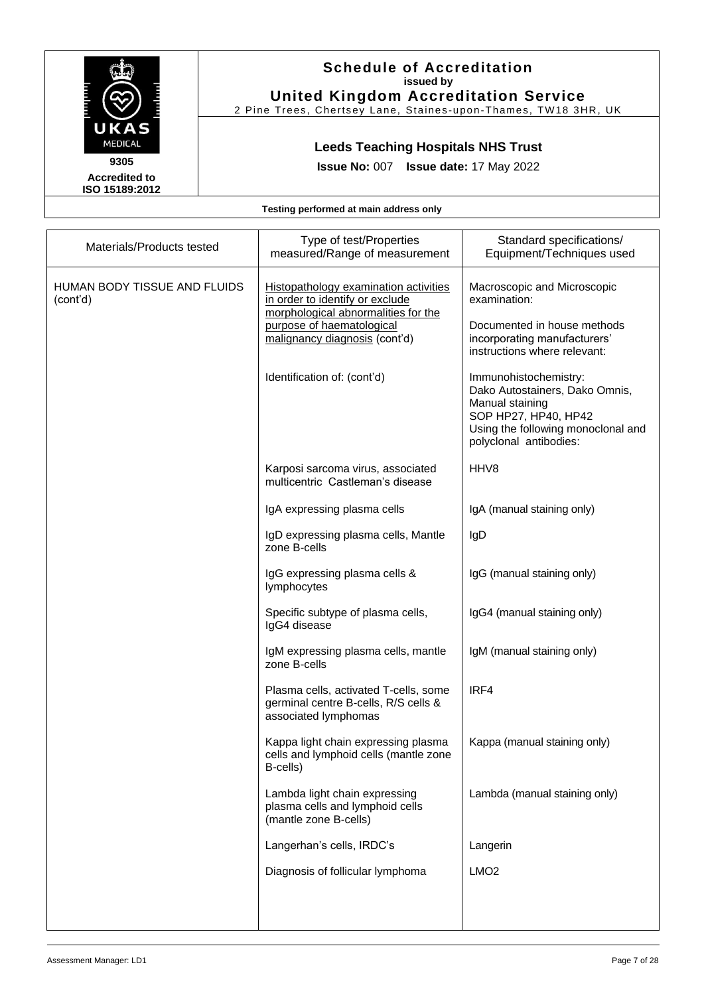

#### **Schedule of Accreditation issued by United Kingdom Accreditation Service**

2 Pine Trees, Chertsey Lane, Staines-upon-Thames, TW18 3HR, UK

# **Leeds Teaching Hospitals NHS Trust**

**Issue No:** 007 **Issue date:** 17 May 2022

| Materials/Products tested                | Type of test/Properties<br>measured/Range of measurement                                                                                                                                                            | Standard specifications/<br>Equipment/Techniques used                                                                                                                                                                                                                                                            |
|------------------------------------------|---------------------------------------------------------------------------------------------------------------------------------------------------------------------------------------------------------------------|------------------------------------------------------------------------------------------------------------------------------------------------------------------------------------------------------------------------------------------------------------------------------------------------------------------|
| HUMAN BODY TISSUE AND FLUIDS<br>(cont'd) | <b>Histopathology examination activities</b><br>in order to identify or exclude<br>morphological abnormalities for the<br>purpose of haematological<br>malignancy diagnosis (cont'd)<br>Identification of: (cont'd) | Macroscopic and Microscopic<br>examination:<br>Documented in house methods<br>incorporating manufacturers'<br>instructions where relevant:<br>Immunohistochemistry:<br>Dako Autostainers, Dako Omnis,<br>Manual staining<br>SOP HP27, HP40, HP42<br>Using the following monoclonal and<br>polyclonal antibodies: |
|                                          | Karposi sarcoma virus, associated<br>multicentric Castleman's disease                                                                                                                                               | HHV8                                                                                                                                                                                                                                                                                                             |
|                                          | IgA expressing plasma cells                                                                                                                                                                                         | IgA (manual staining only)                                                                                                                                                                                                                                                                                       |
|                                          | IgD expressing plasma cells, Mantle<br>zone B-cells                                                                                                                                                                 | IgD                                                                                                                                                                                                                                                                                                              |
|                                          | IgG expressing plasma cells &<br>lymphocytes                                                                                                                                                                        | IgG (manual staining only)                                                                                                                                                                                                                                                                                       |
|                                          | Specific subtype of plasma cells,<br>IgG4 disease                                                                                                                                                                   | IgG4 (manual staining only)                                                                                                                                                                                                                                                                                      |
|                                          | IgM expressing plasma cells, mantle<br>zone B-cells                                                                                                                                                                 | IgM (manual staining only)                                                                                                                                                                                                                                                                                       |
|                                          | Plasma cells, activated T-cells, some<br>germinal centre B-cells, R/S cells &<br>associated lymphomas                                                                                                               | IRF4                                                                                                                                                                                                                                                                                                             |
|                                          | Kappa light chain expressing plasma<br>cells and lymphoid cells (mantle zone<br>B-cells)                                                                                                                            | Kappa (manual staining only)                                                                                                                                                                                                                                                                                     |
|                                          | Lambda light chain expressing<br>plasma cells and lymphoid cells<br>(mantle zone B-cells)                                                                                                                           | Lambda (manual staining only)                                                                                                                                                                                                                                                                                    |
|                                          | Langerhan's cells, IRDC's                                                                                                                                                                                           | Langerin                                                                                                                                                                                                                                                                                                         |
|                                          | Diagnosis of follicular lymphoma                                                                                                                                                                                    | LMO <sub>2</sub>                                                                                                                                                                                                                                                                                                 |
|                                          |                                                                                                                                                                                                                     |                                                                                                                                                                                                                                                                                                                  |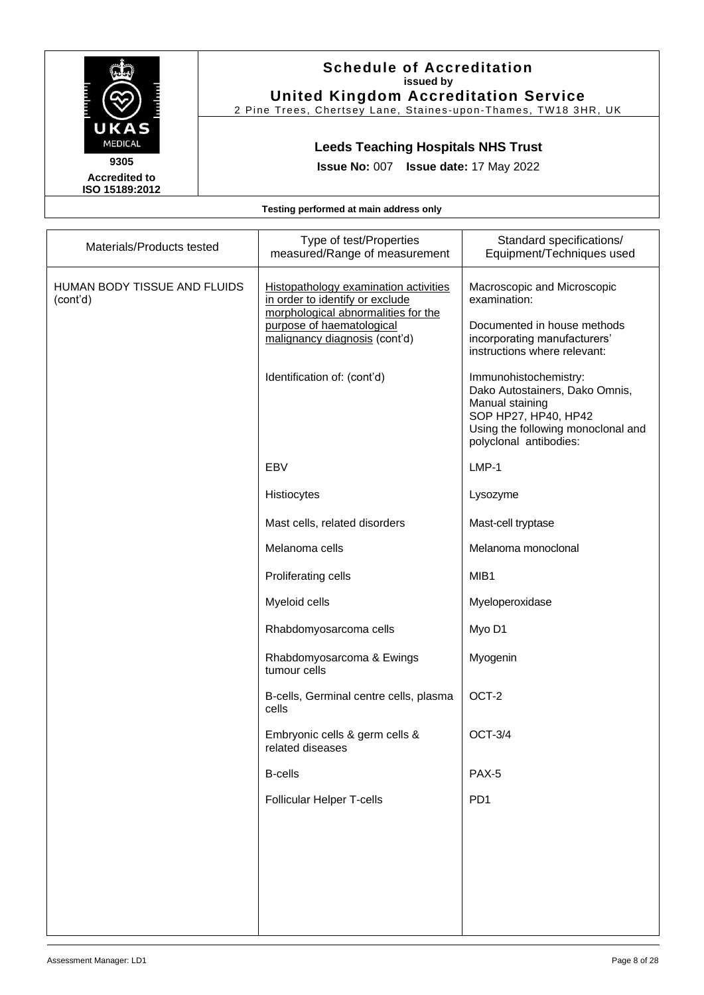

#### **Schedule of Accreditation issued by United Kingdom Accreditation Service**

2 Pine Trees, Chertsey Lane, Staines -upon -Thames, TW18 3HR, UK

# **Leeds Teaching Hospitals NHS Trust**

**Issue No:** 007 **Issue date:** 17 May 2022

| Materials/Products tested                | Type of test/Properties<br>measured/Range of measurement                                                                                                                                                     | Standard specifications/<br>Equipment/Techniques used                                                                                                                                                                                                                                  |
|------------------------------------------|--------------------------------------------------------------------------------------------------------------------------------------------------------------------------------------------------------------|----------------------------------------------------------------------------------------------------------------------------------------------------------------------------------------------------------------------------------------------------------------------------------------|
| HUMAN BODY TISSUE AND FLUIDS<br>(cont'd) | Histopathology examination activities<br>in order to identify or exclude<br>morphological abnormalities for the<br>purpose of haematological<br>malignancy diagnosis (cont'd)<br>Identification of: (cont'd) | Macroscopic and Microscopic<br>examination:<br>Documented in house methods<br>incorporating manufacturers'<br>instructions where relevant:<br>Immunohistochemistry:<br>Dako Autostainers, Dako Omnis,<br>Manual staining<br>SOP HP27, HP40, HP42<br>Using the following monoclonal and |
|                                          | <b>EBV</b>                                                                                                                                                                                                   | polyclonal antibodies:<br>LMP-1                                                                                                                                                                                                                                                        |
|                                          | Histiocytes                                                                                                                                                                                                  | Lysozyme                                                                                                                                                                                                                                                                               |
|                                          | Mast cells, related disorders                                                                                                                                                                                | Mast-cell tryptase                                                                                                                                                                                                                                                                     |
|                                          | Melanoma cells                                                                                                                                                                                               | Melanoma monoclonal                                                                                                                                                                                                                                                                    |
|                                          | Proliferating cells                                                                                                                                                                                          | MIB1                                                                                                                                                                                                                                                                                   |
|                                          | Myeloid cells                                                                                                                                                                                                | Myeloperoxidase                                                                                                                                                                                                                                                                        |
|                                          | Rhabdomyosarcoma cells                                                                                                                                                                                       | Myo D1                                                                                                                                                                                                                                                                                 |
|                                          | Rhabdomyosarcoma & Ewings<br>tumour cells                                                                                                                                                                    | Myogenin                                                                                                                                                                                                                                                                               |
|                                          | B-cells, Germinal centre cells, plasma<br>cells                                                                                                                                                              | OCT-2                                                                                                                                                                                                                                                                                  |
|                                          | Embryonic cells & germ cells &<br>related diseases                                                                                                                                                           | <b>OCT-3/4</b>                                                                                                                                                                                                                                                                         |
|                                          | <b>B-cells</b>                                                                                                                                                                                               | PAX-5                                                                                                                                                                                                                                                                                  |
|                                          | Follicular Helper T-cells                                                                                                                                                                                    | PD <sub>1</sub>                                                                                                                                                                                                                                                                        |
|                                          |                                                                                                                                                                                                              |                                                                                                                                                                                                                                                                                        |
|                                          |                                                                                                                                                                                                              |                                                                                                                                                                                                                                                                                        |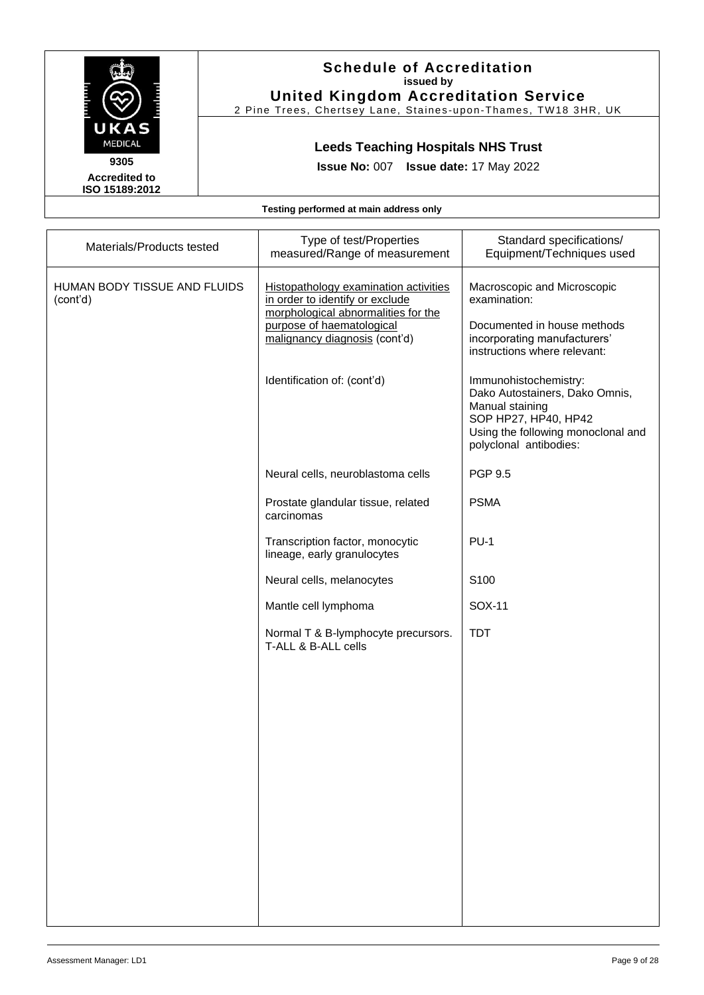

### **Schedule of Accreditation issued by United Kingdom Accreditation Service**

2 Pine Trees, Chertsey Lane, Staines -upon -Thames, TW18 3HR, UK

# **Leeds Teaching Hospitals NHS Trust**

**Issue No:** 007 **Issue date:** 17 May 2022

|  |  |  | Testing performed at main address only |
|--|--|--|----------------------------------------|
|--|--|--|----------------------------------------|

| Materials/Products tested                | Type of test/Properties<br>measured/Range of measurement                                                                                                                                                     | Standard specifications/<br>Equipment/Techniques used                                                                                                                                                 |
|------------------------------------------|--------------------------------------------------------------------------------------------------------------------------------------------------------------------------------------------------------------|-------------------------------------------------------------------------------------------------------------------------------------------------------------------------------------------------------|
| HUMAN BODY TISSUE AND FLUIDS<br>(cont'd) | Histopathology examination activities<br>in order to identify or exclude<br>morphological abnormalities for the<br>purpose of haematological<br>malignancy diagnosis (cont'd)<br>Identification of: (cont'd) | Macroscopic and Microscopic<br>examination:<br>Documented in house methods<br>incorporating manufacturers'<br>instructions where relevant:<br>Immunohistochemistry:<br>Dako Autostainers, Dako Omnis, |
|                                          |                                                                                                                                                                                                              | Manual staining<br>SOP HP27, HP40, HP42<br>Using the following monoclonal and<br>polyclonal antibodies:                                                                                               |
|                                          | Neural cells, neuroblastoma cells                                                                                                                                                                            | <b>PGP 9.5</b>                                                                                                                                                                                        |
|                                          | Prostate glandular tissue, related<br>carcinomas                                                                                                                                                             | <b>PSMA</b>                                                                                                                                                                                           |
|                                          | Transcription factor, monocytic<br>lineage, early granulocytes                                                                                                                                               | $PU-1$                                                                                                                                                                                                |
|                                          | Neural cells, melanocytes                                                                                                                                                                                    | S100                                                                                                                                                                                                  |
|                                          | Mantle cell lymphoma                                                                                                                                                                                         | SOX-11                                                                                                                                                                                                |
|                                          | Normal T & B-lymphocyte precursors.<br>T-ALL & B-ALL cells                                                                                                                                                   | <b>TDT</b>                                                                                                                                                                                            |
|                                          |                                                                                                                                                                                                              |                                                                                                                                                                                                       |
|                                          |                                                                                                                                                                                                              |                                                                                                                                                                                                       |
|                                          |                                                                                                                                                                                                              |                                                                                                                                                                                                       |
|                                          |                                                                                                                                                                                                              |                                                                                                                                                                                                       |
|                                          |                                                                                                                                                                                                              |                                                                                                                                                                                                       |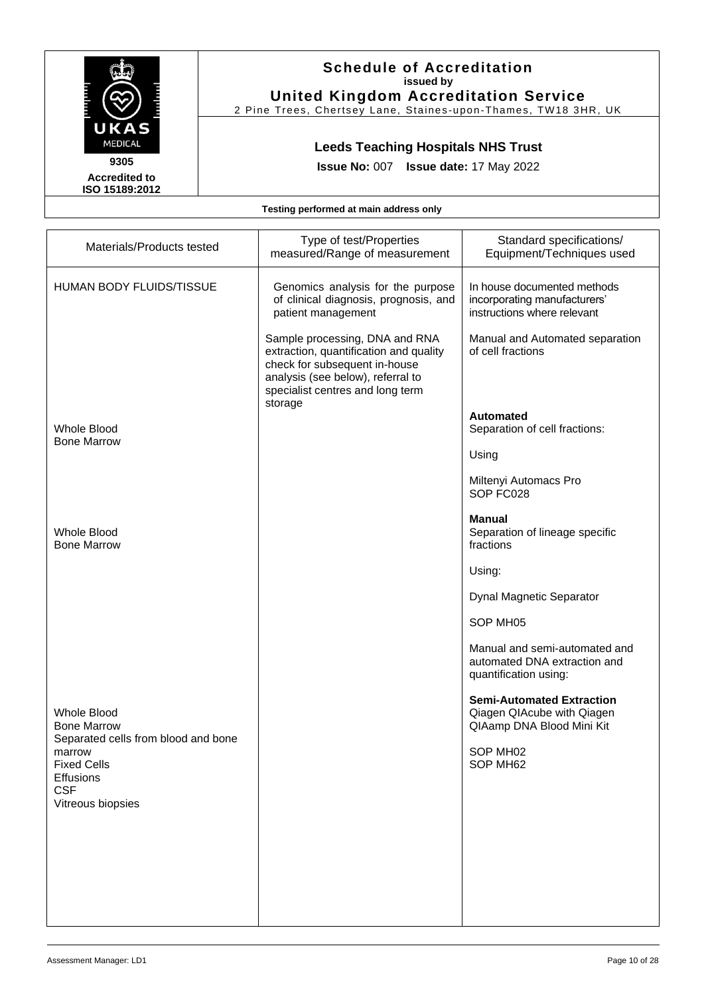

2 Pine Trees, Chertsey Lane, Staines -upon -Thames, TW18 3HR, UK

# **Leeds Teaching Hospitals NHS Trust**

**Issue No:** 007 **Issue date:** 17 May 2022

**Accredited to ISO 15189:2012** 

| Materials/Products tested                                                        | Type of test/Properties<br>measured/Range of measurement                                                                                                                                      | Standard specifications/<br>Equipment/Techniques used                                       |
|----------------------------------------------------------------------------------|-----------------------------------------------------------------------------------------------------------------------------------------------------------------------------------------------|---------------------------------------------------------------------------------------------|
| HUMAN BODY FLUIDS/TISSUE                                                         | Genomics analysis for the purpose<br>of clinical diagnosis, prognosis, and<br>patient management                                                                                              | In house documented methods<br>incorporating manufacturers'<br>instructions where relevant  |
|                                                                                  | Sample processing, DNA and RNA<br>extraction, quantification and quality<br>check for subsequent in-house<br>analysis (see below), referral to<br>specialist centres and long term<br>storage | Manual and Automated separation<br>of cell fractions                                        |
| Whole Blood<br><b>Bone Marrow</b>                                                |                                                                                                                                                                                               | <b>Automated</b><br>Separation of cell fractions:                                           |
|                                                                                  |                                                                                                                                                                                               | Using                                                                                       |
|                                                                                  |                                                                                                                                                                                               | Miltenyi Automacs Pro<br>SOP FC028                                                          |
| Whole Blood<br><b>Bone Marrow</b>                                                |                                                                                                                                                                                               | <b>Manual</b><br>Separation of lineage specific<br>fractions                                |
|                                                                                  |                                                                                                                                                                                               | Using:                                                                                      |
|                                                                                  |                                                                                                                                                                                               | <b>Dynal Magnetic Separator</b>                                                             |
|                                                                                  |                                                                                                                                                                                               | SOP MH05                                                                                    |
|                                                                                  |                                                                                                                                                                                               | Manual and semi-automated and<br>automated DNA extraction and<br>quantification using:      |
| <b>Whole Blood</b><br><b>Bone Marrow</b>                                         |                                                                                                                                                                                               | <b>Semi-Automated Extraction</b><br>Qiagen QIAcube with Qiagen<br>QIAamp DNA Blood Mini Kit |
| Separated cells from blood and bone<br>marrow<br><b>Fixed Cells</b><br>Effusions |                                                                                                                                                                                               | SOP MH02<br>SOP MH62                                                                        |
| <b>CSF</b><br>Vitreous biopsies                                                  |                                                                                                                                                                                               |                                                                                             |
|                                                                                  |                                                                                                                                                                                               |                                                                                             |
|                                                                                  |                                                                                                                                                                                               |                                                                                             |
|                                                                                  |                                                                                                                                                                                               |                                                                                             |
|                                                                                  |                                                                                                                                                                                               |                                                                                             |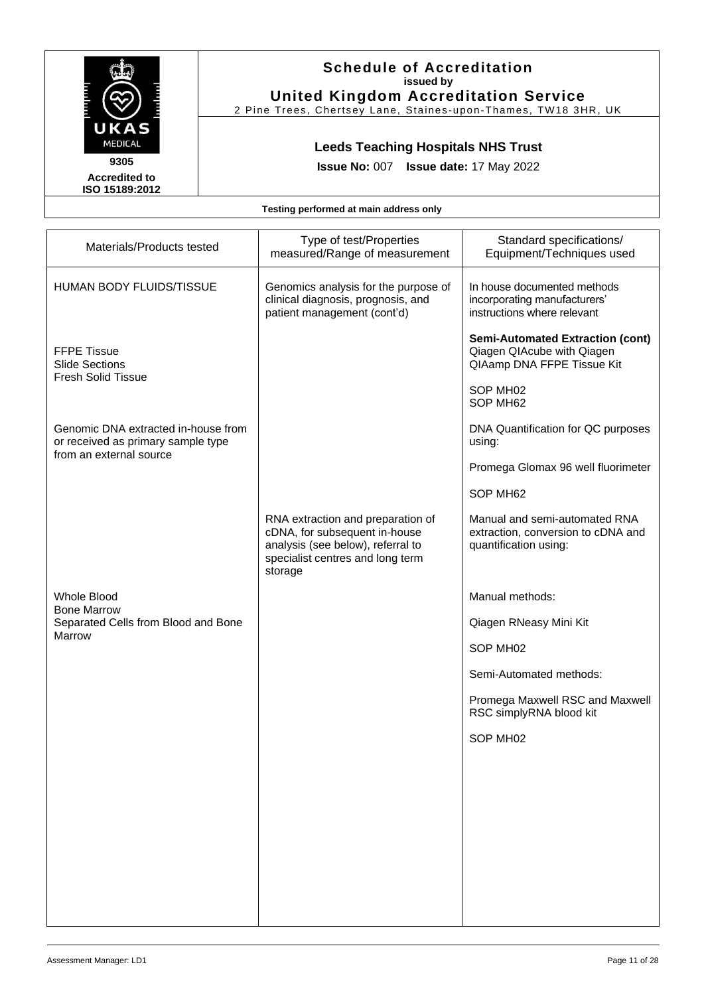

2 Pine Trees, Chertsey Lane, Staines -upon -Thames, TW18 3HR, UK

# **Leeds Teaching Hospitals NHS Trust**

**Issue No:** 007 **Issue date:** 17 May 2022

**Accredited to ISO 15189:2012** 

| Materials/Products tested                                                                            | Type of test/Properties<br>measured/Range of measurement                                                                                               | Standard specifications/<br>Equipment/Techniques used                                               |
|------------------------------------------------------------------------------------------------------|--------------------------------------------------------------------------------------------------------------------------------------------------------|-----------------------------------------------------------------------------------------------------|
| <b>HUMAN BODY FLUIDS/TISSUE</b>                                                                      | Genomics analysis for the purpose of<br>clinical diagnosis, prognosis, and<br>patient management (cont'd)                                              | In house documented methods<br>incorporating manufacturers'<br>instructions where relevant          |
| <b>FFPE Tissue</b><br><b>Slide Sections</b><br><b>Fresh Solid Tissue</b>                             |                                                                                                                                                        | <b>Semi-Automated Extraction (cont)</b><br>Qiagen QIAcube with Qiagen<br>QIAamp DNA FFPE Tissue Kit |
|                                                                                                      |                                                                                                                                                        | SOP MH02<br>SOP MH62                                                                                |
| Genomic DNA extracted in-house from<br>or received as primary sample type<br>from an external source |                                                                                                                                                        | DNA Quantification for QC purposes<br>using:                                                        |
|                                                                                                      |                                                                                                                                                        | Promega Glomax 96 well fluorimeter                                                                  |
|                                                                                                      |                                                                                                                                                        | SOP MH62                                                                                            |
|                                                                                                      | RNA extraction and preparation of<br>cDNA, for subsequent in-house<br>analysis (see below), referral to<br>specialist centres and long term<br>storage | Manual and semi-automated RNA<br>extraction, conversion to cDNA and<br>quantification using:        |
| <b>Whole Blood</b>                                                                                   |                                                                                                                                                        | Manual methods:                                                                                     |
| <b>Bone Marrow</b><br>Separated Cells from Blood and Bone                                            |                                                                                                                                                        | Qiagen RNeasy Mini Kit                                                                              |
| Marrow                                                                                               |                                                                                                                                                        | SOP MH02                                                                                            |
|                                                                                                      |                                                                                                                                                        | Semi-Automated methods:                                                                             |
|                                                                                                      |                                                                                                                                                        | Promega Maxwell RSC and Maxwell<br>RSC simplyRNA blood kit                                          |
|                                                                                                      |                                                                                                                                                        | SOP MH02                                                                                            |
|                                                                                                      |                                                                                                                                                        |                                                                                                     |
|                                                                                                      |                                                                                                                                                        |                                                                                                     |
|                                                                                                      |                                                                                                                                                        |                                                                                                     |
|                                                                                                      |                                                                                                                                                        |                                                                                                     |
|                                                                                                      |                                                                                                                                                        |                                                                                                     |
|                                                                                                      |                                                                                                                                                        |                                                                                                     |
|                                                                                                      |                                                                                                                                                        |                                                                                                     |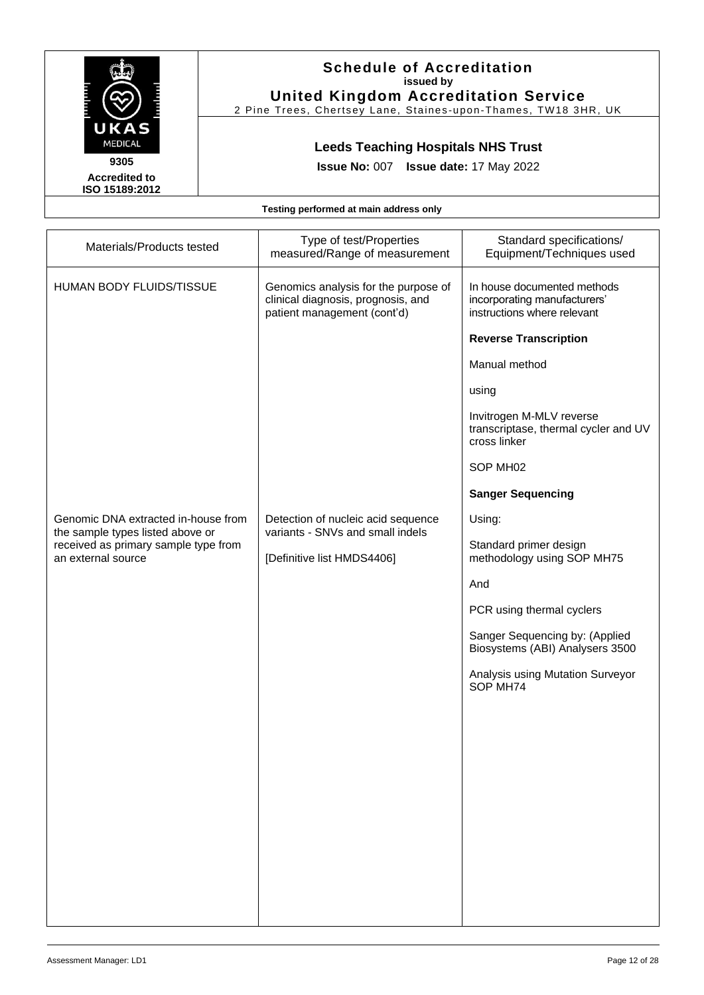

### **Schedule of Accreditation issued by United Kingdom Accreditation Service**

2 Pine Trees, Chertsey Lane, Staines -upon -Thames, TW18 3HR, UK

# **Leeds Teaching Hospitals NHS Trust**

**Issue No:** 007 **Issue date:** 17 May 2022

|  | Testing performed at main address only |  |  |  |
|--|----------------------------------------|--|--|--|
|--|----------------------------------------|--|--|--|

| Materials/Products tested                                                                      | Type of test/Properties<br>measured/Range of measurement                                                  | Standard specifications/<br>Equipment/Techniques used                                      |
|------------------------------------------------------------------------------------------------|-----------------------------------------------------------------------------------------------------------|--------------------------------------------------------------------------------------------|
| HUMAN BODY FLUIDS/TISSUE                                                                       | Genomics analysis for the purpose of<br>clinical diagnosis, prognosis, and<br>patient management (cont'd) | In house documented methods<br>incorporating manufacturers'<br>instructions where relevant |
|                                                                                                |                                                                                                           | <b>Reverse Transcription</b>                                                               |
|                                                                                                |                                                                                                           | Manual method                                                                              |
|                                                                                                |                                                                                                           | using                                                                                      |
|                                                                                                |                                                                                                           | Invitrogen M-MLV reverse<br>transcriptase, thermal cycler and UV<br>cross linker           |
|                                                                                                |                                                                                                           | SOP MH02                                                                                   |
|                                                                                                |                                                                                                           | <b>Sanger Sequencing</b>                                                                   |
| Genomic DNA extracted in-house from                                                            | Detection of nucleic acid sequence<br>variants - SNVs and small indels                                    | Using:                                                                                     |
| the sample types listed above or<br>received as primary sample type from<br>an external source | [Definitive list HMDS4406]                                                                                | Standard primer design<br>methodology using SOP MH75                                       |
|                                                                                                |                                                                                                           | And                                                                                        |
|                                                                                                |                                                                                                           | PCR using thermal cyclers                                                                  |
|                                                                                                |                                                                                                           | Sanger Sequencing by: (Applied<br>Biosystems (ABI) Analysers 3500                          |
|                                                                                                |                                                                                                           | Analysis using Mutation Surveyor<br>SOP MH74                                               |
|                                                                                                |                                                                                                           |                                                                                            |
|                                                                                                |                                                                                                           |                                                                                            |
|                                                                                                |                                                                                                           |                                                                                            |
|                                                                                                |                                                                                                           |                                                                                            |
|                                                                                                |                                                                                                           |                                                                                            |
|                                                                                                |                                                                                                           |                                                                                            |
|                                                                                                |                                                                                                           |                                                                                            |
|                                                                                                |                                                                                                           |                                                                                            |
|                                                                                                |                                                                                                           |                                                                                            |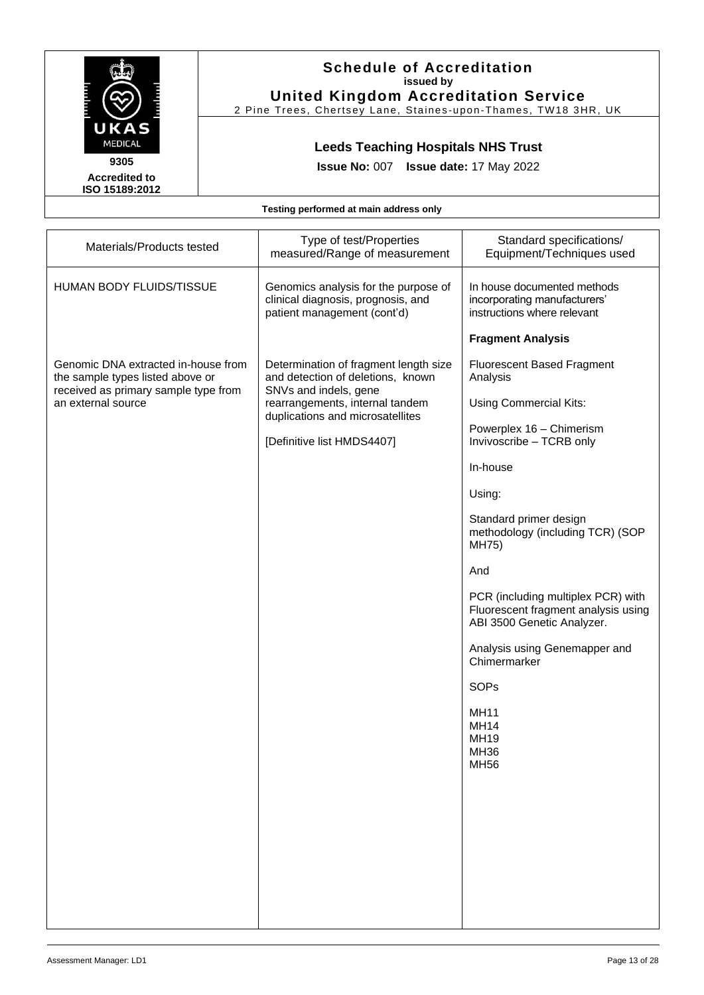

2 Pine Trees, Chertsey Lane, Staines -upon -Thames, TW18 3HR, UK

# **Leeds Teaching Hospitals NHS Trust**

**Issue No:** 007 **Issue date:** 17 May 2022

**Accredited to ISO 15189:2012** 

| Materials/Products tested                                               | Type of test/Properties<br>measured/Range of measurement                                                  | Standard specifications/<br>Equipment/Techniques used                                                   |
|-------------------------------------------------------------------------|-----------------------------------------------------------------------------------------------------------|---------------------------------------------------------------------------------------------------------|
| HUMAN BODY FLUIDS/TISSUE                                                | Genomics analysis for the purpose of<br>clinical diagnosis, prognosis, and<br>patient management (cont'd) | In house documented methods<br>incorporating manufacturers'<br>instructions where relevant              |
|                                                                         |                                                                                                           | <b>Fragment Analysis</b>                                                                                |
| Genomic DNA extracted in-house from<br>the sample types listed above or | Determination of fragment length size<br>and detection of deletions, known                                | <b>Fluorescent Based Fragment</b><br>Analysis                                                           |
| received as primary sample type from<br>an external source              | SNVs and indels, gene<br>rearrangements, internal tandem<br>duplications and microsatellites              | Using Commercial Kits:                                                                                  |
|                                                                         | [Definitive list HMDS4407]                                                                                | Powerplex 16 - Chimerism<br>Invivoscribe - TCRB only                                                    |
|                                                                         |                                                                                                           | In-house                                                                                                |
|                                                                         |                                                                                                           | Using:                                                                                                  |
|                                                                         |                                                                                                           | Standard primer design<br>methodology (including TCR) (SOP<br>MH75)                                     |
|                                                                         |                                                                                                           | And                                                                                                     |
|                                                                         |                                                                                                           | PCR (including multiplex PCR) with<br>Fluorescent fragment analysis using<br>ABI 3500 Genetic Analyzer. |
|                                                                         |                                                                                                           | Analysis using Genemapper and<br>Chimermarker                                                           |
|                                                                         |                                                                                                           | SOPs                                                                                                    |
|                                                                         |                                                                                                           | <b>MH11</b><br><b>MH14</b><br><b>MH19</b><br><b>MH36</b><br><b>MH56</b>                                 |
|                                                                         |                                                                                                           |                                                                                                         |
|                                                                         |                                                                                                           |                                                                                                         |
|                                                                         |                                                                                                           |                                                                                                         |
|                                                                         |                                                                                                           |                                                                                                         |
|                                                                         |                                                                                                           |                                                                                                         |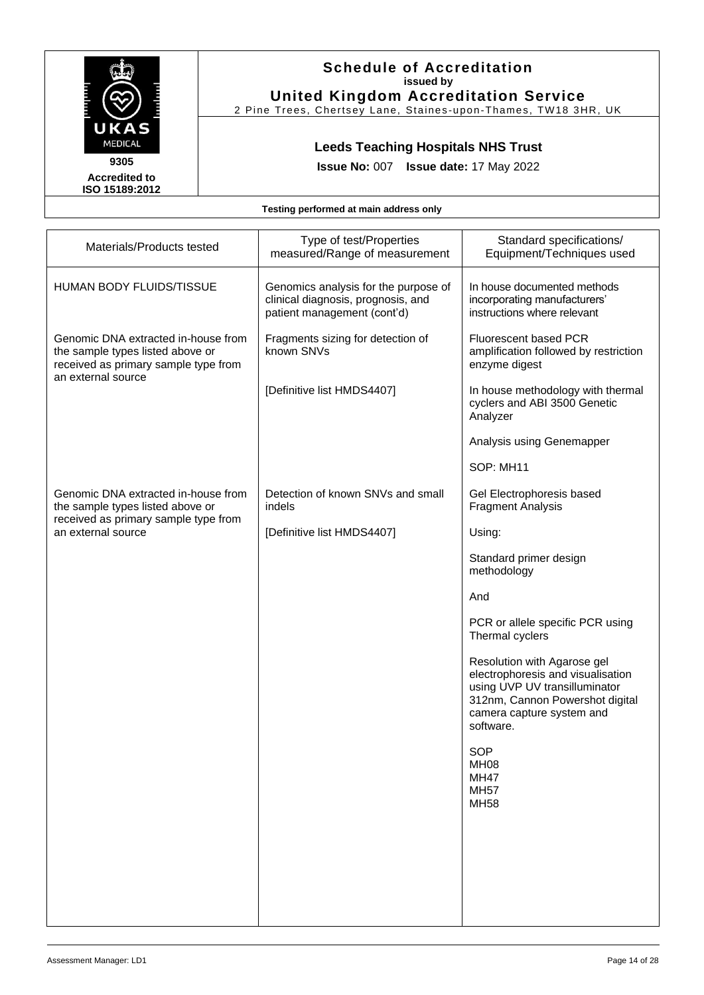

2 Pine Trees, Chertsey Lane, Staines -upon -Thames, TW18 3HR, UK

# **Leeds Teaching Hospitals NHS Trust**

**Issue No:** 007 **Issue date:** 17 May 2022

**Accredited to ISO 15189:2012** 

| Materials/Products tested                                                                                                             | Type of test/Properties<br>measured/Range of measurement                                                  | Standard specifications/<br>Equipment/Techniques used                                                                                                                          |
|---------------------------------------------------------------------------------------------------------------------------------------|-----------------------------------------------------------------------------------------------------------|--------------------------------------------------------------------------------------------------------------------------------------------------------------------------------|
| HUMAN BODY FLUIDS/TISSUE                                                                                                              | Genomics analysis for the purpose of<br>clinical diagnosis, prognosis, and<br>patient management (cont'd) | In house documented methods<br>incorporating manufacturers'<br>instructions where relevant                                                                                     |
| Genomic DNA extracted in-house from<br>the sample types listed above or<br>received as primary sample type from<br>an external source | Fragments sizing for detection of<br>known SNVs                                                           | <b>Fluorescent based PCR</b><br>amplification followed by restriction<br>enzyme digest                                                                                         |
|                                                                                                                                       | [Definitive list HMDS4407]                                                                                | In house methodology with thermal<br>cyclers and ABI 3500 Genetic<br>Analyzer                                                                                                  |
|                                                                                                                                       |                                                                                                           | Analysis using Genemapper                                                                                                                                                      |
|                                                                                                                                       |                                                                                                           | SOP: MH11                                                                                                                                                                      |
| Genomic DNA extracted in-house from<br>the sample types listed above or<br>received as primary sample type from                       | Detection of known SNVs and small<br>indels                                                               | Gel Electrophoresis based<br><b>Fragment Analysis</b>                                                                                                                          |
| an external source                                                                                                                    | [Definitive list HMDS4407]                                                                                | Using:                                                                                                                                                                         |
|                                                                                                                                       |                                                                                                           | Standard primer design<br>methodology                                                                                                                                          |
|                                                                                                                                       |                                                                                                           | And                                                                                                                                                                            |
|                                                                                                                                       |                                                                                                           | PCR or allele specific PCR using<br>Thermal cyclers                                                                                                                            |
|                                                                                                                                       |                                                                                                           | Resolution with Agarose gel<br>electrophoresis and visualisation<br>using UVP UV transilluminator<br>312nm, Cannon Powershot digital<br>camera capture system and<br>software. |
|                                                                                                                                       |                                                                                                           | <b>SOP</b><br><b>MH08</b><br><b>MH47</b><br><b>MH57</b><br><b>MH58</b>                                                                                                         |
|                                                                                                                                       |                                                                                                           |                                                                                                                                                                                |
|                                                                                                                                       |                                                                                                           |                                                                                                                                                                                |
|                                                                                                                                       |                                                                                                           |                                                                                                                                                                                |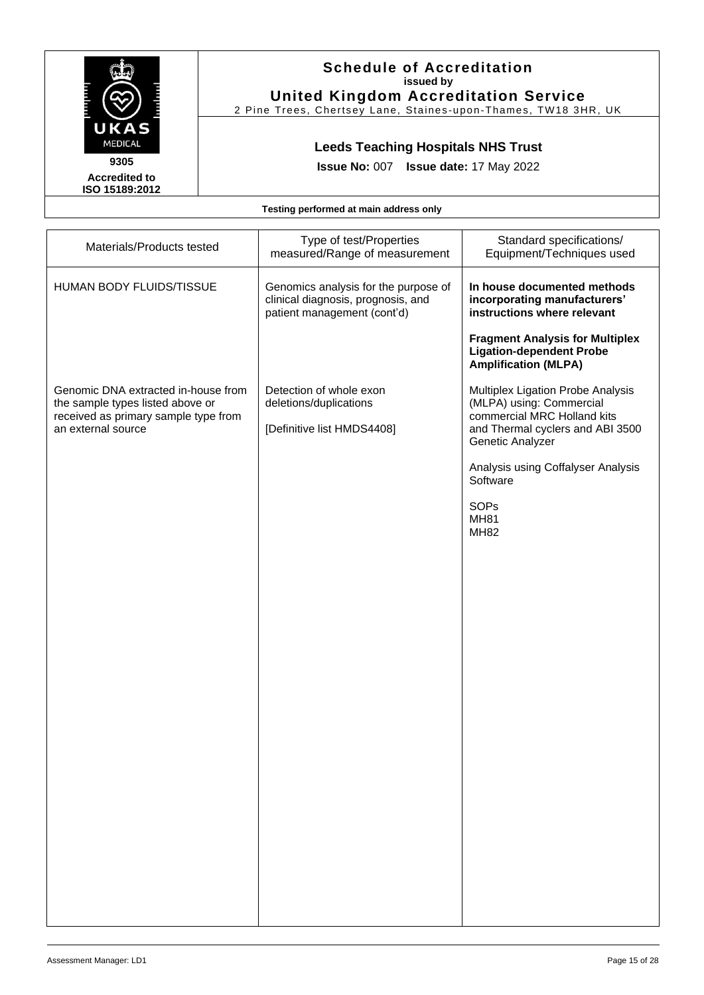

2 Pine Trees, Chertsey Lane, Staines -upon -Thames, TW18 3HR, UK

# **Leeds Teaching Hospitals NHS Trust**

**Issue No:** 007 **Issue date:** 17 May 2022

**Accredited to ISO 15189:2012** 

| Materials/Products tested                                                                                                             | Type of test/Properties<br>measured/Range of measurement                                                  | Standard specifications/<br>Equipment/Techniques used                                                                                                                                                                                               |
|---------------------------------------------------------------------------------------------------------------------------------------|-----------------------------------------------------------------------------------------------------------|-----------------------------------------------------------------------------------------------------------------------------------------------------------------------------------------------------------------------------------------------------|
| HUMAN BODY FLUIDS/TISSUE                                                                                                              | Genomics analysis for the purpose of<br>clinical diagnosis, prognosis, and<br>patient management (cont'd) | In house documented methods<br>incorporating manufacturers'<br>instructions where relevant                                                                                                                                                          |
|                                                                                                                                       |                                                                                                           | <b>Fragment Analysis for Multiplex</b><br><b>Ligation-dependent Probe</b><br><b>Amplification (MLPA)</b>                                                                                                                                            |
| Genomic DNA extracted in-house from<br>the sample types listed above or<br>received as primary sample type from<br>an external source | Detection of whole exon<br>deletions/duplications<br>[Definitive list HMDS4408]                           | Multiplex Ligation Probe Analysis<br>(MLPA) using: Commercial<br>commercial MRC Holland kits<br>and Thermal cyclers and ABI 3500<br>Genetic Analyzer<br>Analysis using Coffalyser Analysis<br>Software<br><b>SOPs</b><br><b>MH81</b><br><b>MH82</b> |
|                                                                                                                                       |                                                                                                           |                                                                                                                                                                                                                                                     |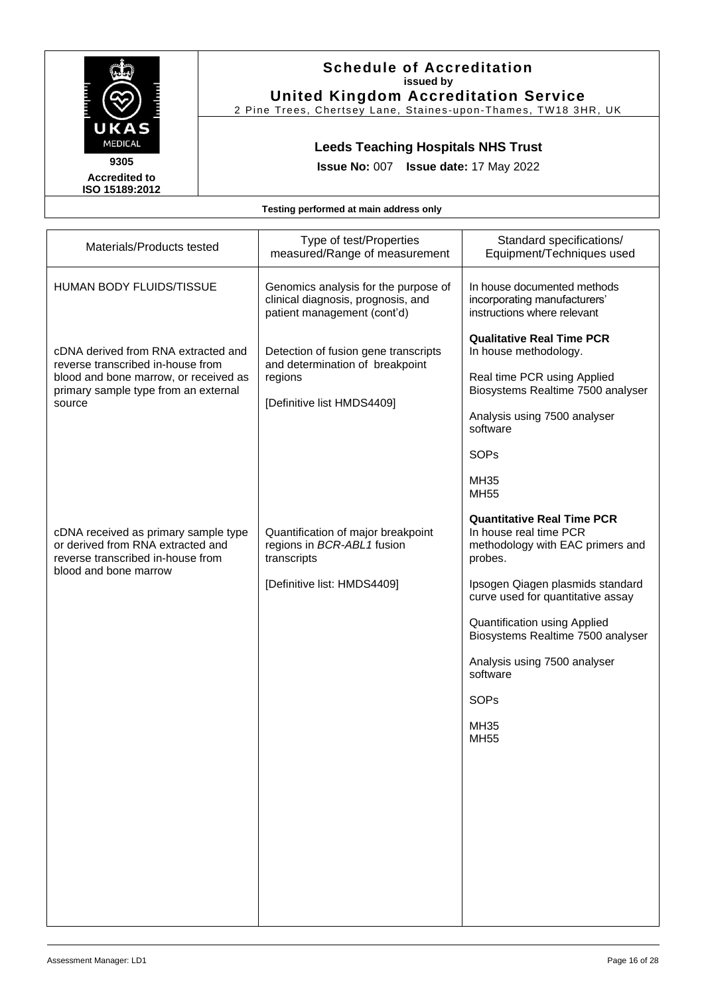

2 Pine Trees, Chertsey Lane, Staines -upon -Thames, TW18 3HR, UK

# **Leeds Teaching Hospitals NHS Trust**

**Issue No:** 007 **Issue date:** 17 May 2022

**Accredited to ISO 15189:2012** 

| Materials/Products tested                                                                                                                                           | Type of test/Properties<br>measured/Range of measurement                                                         | Standard specifications/<br>Equipment/Techniques used                                                                                                                             |
|---------------------------------------------------------------------------------------------------------------------------------------------------------------------|------------------------------------------------------------------------------------------------------------------|-----------------------------------------------------------------------------------------------------------------------------------------------------------------------------------|
| HUMAN BODY FLUIDS/TISSUE                                                                                                                                            | Genomics analysis for the purpose of<br>clinical diagnosis, prognosis, and<br>patient management (cont'd)        | In house documented methods<br>incorporating manufacturers'<br>instructions where relevant                                                                                        |
| cDNA derived from RNA extracted and<br>reverse transcribed in-house from<br>blood and bone marrow, or received as<br>primary sample type from an external<br>source | Detection of fusion gene transcripts<br>and determination of breakpoint<br>regions<br>[Definitive list HMDS4409] | <b>Qualitative Real Time PCR</b><br>In house methodology.<br>Real time PCR using Applied<br>Biosystems Realtime 7500 analyser<br>Analysis using 7500 analyser<br>software<br>SOPs |
|                                                                                                                                                                     |                                                                                                                  | <b>MH35</b><br><b>MH55</b>                                                                                                                                                        |
| cDNA received as primary sample type<br>or derived from RNA extracted and<br>reverse transcribed in-house from                                                      | Quantification of major breakpoint<br>regions in BCR-ABL1 fusion<br>transcripts                                  | <b>Quantitative Real Time PCR</b><br>In house real time PCR<br>methodology with EAC primers and<br>probes.                                                                        |
| blood and bone marrow                                                                                                                                               | [Definitive list: HMDS4409]                                                                                      | Ipsogen Qiagen plasmids standard<br>curve used for quantitative assay                                                                                                             |
|                                                                                                                                                                     |                                                                                                                  | Quantification using Applied<br>Biosystems Realtime 7500 analyser                                                                                                                 |
|                                                                                                                                                                     |                                                                                                                  | Analysis using 7500 analyser<br>software                                                                                                                                          |
|                                                                                                                                                                     |                                                                                                                  | SOP <sub>s</sub>                                                                                                                                                                  |
|                                                                                                                                                                     |                                                                                                                  | <b>MH35</b><br><b>MH55</b>                                                                                                                                                        |
|                                                                                                                                                                     |                                                                                                                  |                                                                                                                                                                                   |
|                                                                                                                                                                     |                                                                                                                  |                                                                                                                                                                                   |
|                                                                                                                                                                     |                                                                                                                  |                                                                                                                                                                                   |
|                                                                                                                                                                     |                                                                                                                  |                                                                                                                                                                                   |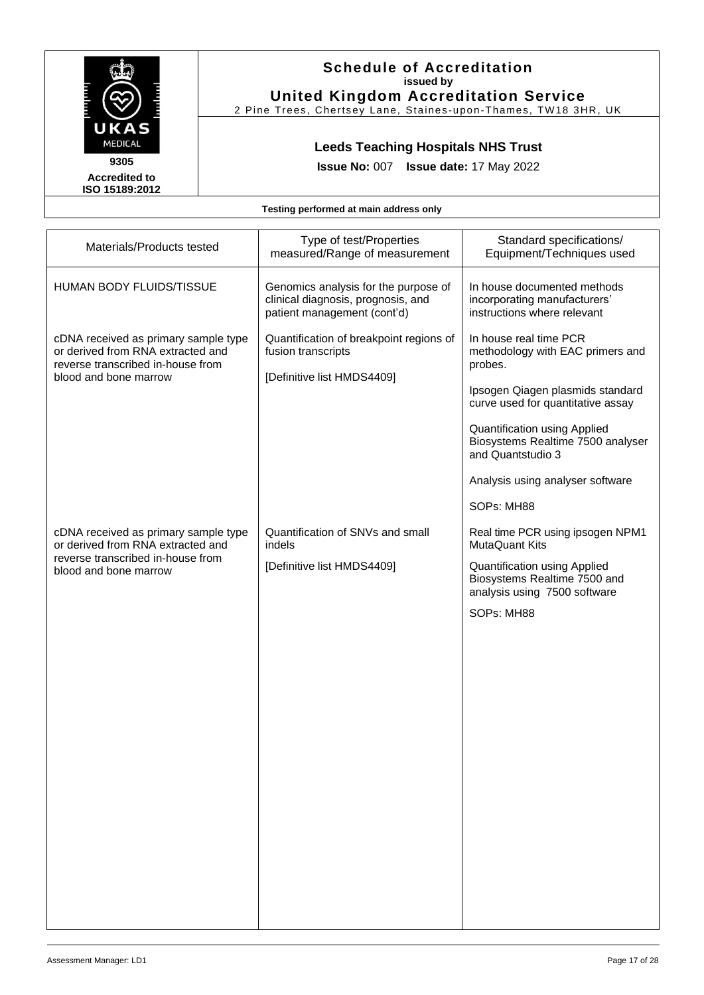

2 Pine Trees, Chertsey Lane, Staines -upon -Thames, TW18 3HR, UK

# **Leeds Teaching Hospitals NHS Trust**

**Issue No:** 007 **Issue date:** 17 May 2022

**Accredited to ISO 15189:2012** 

| Materials/Products tested                                                                                                                                                                                            | Type of test/Properties<br>measured/Range of measurement                                                                                  | Standard specifications/<br>Equipment/Techniques used                                                                                                                                                                                                                                                                                                          |
|----------------------------------------------------------------------------------------------------------------------------------------------------------------------------------------------------------------------|-------------------------------------------------------------------------------------------------------------------------------------------|----------------------------------------------------------------------------------------------------------------------------------------------------------------------------------------------------------------------------------------------------------------------------------------------------------------------------------------------------------------|
| <b>HUMAN BODY FLUIDS/TISSUE</b>                                                                                                                                                                                      | Genomics analysis for the purpose of<br>clinical diagnosis, prognosis, and<br>patient management (cont'd)                                 | In house documented methods<br>incorporating manufacturers'<br>instructions where relevant                                                                                                                                                                                                                                                                     |
| cDNA received as primary sample type<br>or derived from RNA extracted and<br>reverse transcribed in-house from<br>blood and bone marrow<br>cDNA received as primary sample type<br>or derived from RNA extracted and | Quantification of breakpoint regions of<br>fusion transcripts<br>[Definitive list HMDS4409]<br>Quantification of SNVs and small<br>indels | In house real time PCR<br>methodology with EAC primers and<br>probes.<br>Ipsogen Qiagen plasmids standard<br>curve used for quantitative assay<br><b>Quantification using Applied</b><br>Biosystems Realtime 7500 analyser<br>and Quantstudio 3<br>Analysis using analyser software<br>SOPs: MH88<br>Real time PCR using ipsogen NPM1<br><b>MutaQuant Kits</b> |
| reverse transcribed in-house from<br>blood and bone marrow                                                                                                                                                           | [Definitive list HMDS4409]                                                                                                                | Quantification using Applied<br>Biosystems Realtime 7500 and<br>analysis using 7500 software<br>SOPs: MH88                                                                                                                                                                                                                                                     |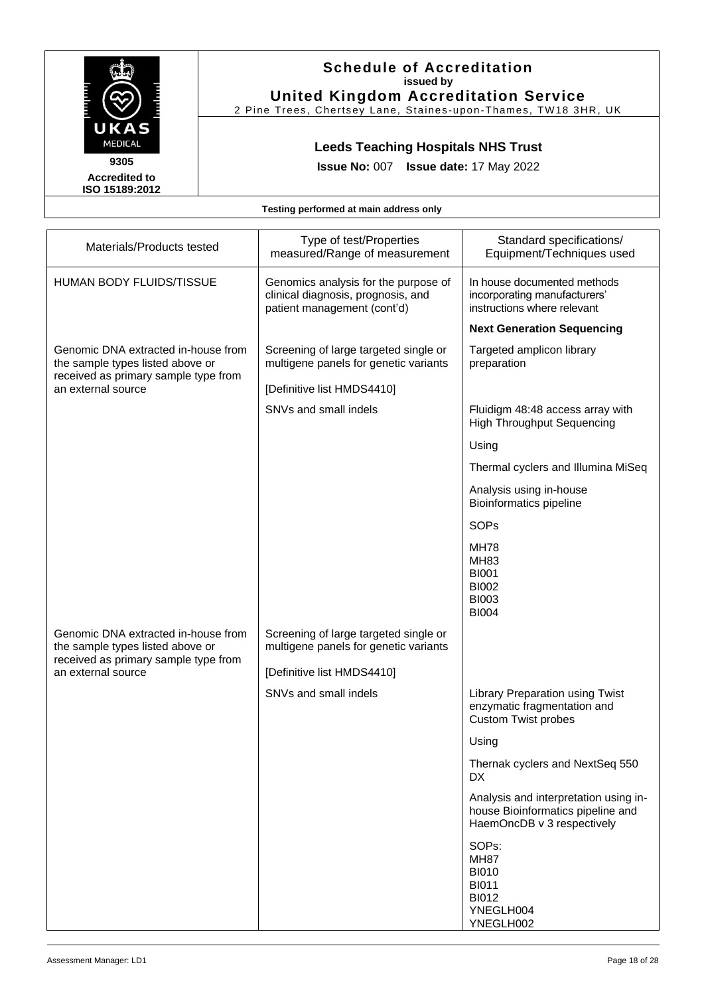

2 Pine Trees, Chertsey Lane, Staines -upon -Thames, TW18 3HR, UK

# **Leeds Teaching Hospitals NHS Trust**

**Issue No:** 007 **Issue date:** 17 May 2022

**Accredited to ISO 15189:2012** 

| Materials/Products tested                                                                                       | Type of test/Properties<br>measured/Range of measurement                                                  | Standard specifications/<br>Equipment/Techniques used                                                    |
|-----------------------------------------------------------------------------------------------------------------|-----------------------------------------------------------------------------------------------------------|----------------------------------------------------------------------------------------------------------|
| <b>HUMAN BODY FLUIDS/TISSUE</b>                                                                                 | Genomics analysis for the purpose of<br>clinical diagnosis, prognosis, and<br>patient management (cont'd) | In house documented methods<br>incorporating manufacturers'<br>instructions where relevant               |
|                                                                                                                 |                                                                                                           | <b>Next Generation Sequencing</b>                                                                        |
| Genomic DNA extracted in-house from<br>the sample types listed above or<br>received as primary sample type from | Screening of large targeted single or<br>multigene panels for genetic variants                            | Targeted amplicon library<br>preparation                                                                 |
| an external source                                                                                              | [Definitive list HMDS4410]                                                                                |                                                                                                          |
|                                                                                                                 | SNVs and small indels                                                                                     | Fluidigm 48:48 access array with<br><b>High Throughput Sequencing</b>                                    |
|                                                                                                                 |                                                                                                           | Using                                                                                                    |
|                                                                                                                 |                                                                                                           | Thermal cyclers and Illumina MiSeq                                                                       |
|                                                                                                                 |                                                                                                           | Analysis using in-house<br><b>Bioinformatics pipeline</b>                                                |
|                                                                                                                 |                                                                                                           | SOPs                                                                                                     |
|                                                                                                                 |                                                                                                           | <b>MH78</b><br><b>MH83</b><br><b>BI001</b><br><b>BI002</b><br><b>BI003</b><br><b>BI004</b>               |
| Genomic DNA extracted in-house from<br>the sample types listed above or                                         | Screening of large targeted single or<br>multigene panels for genetic variants                            |                                                                                                          |
| received as primary sample type from<br>an external source                                                      | [Definitive list HMDS4410]                                                                                |                                                                                                          |
|                                                                                                                 | SNVs and small indels                                                                                     | <b>Library Preparation using Twist</b><br>enzymatic fragmentation and<br><b>Custom Twist probes</b>      |
|                                                                                                                 |                                                                                                           | Using                                                                                                    |
|                                                                                                                 |                                                                                                           | Thernak cyclers and NextSeq 550<br><b>DX</b>                                                             |
|                                                                                                                 |                                                                                                           | Analysis and interpretation using in-<br>house Bioinformatics pipeline and<br>HaemOncDB v 3 respectively |
|                                                                                                                 |                                                                                                           | SOPs:<br><b>MH87</b><br><b>BI010</b><br><b>BI011</b><br><b>BI012</b><br>YNEGLH004<br>YNEGLH002           |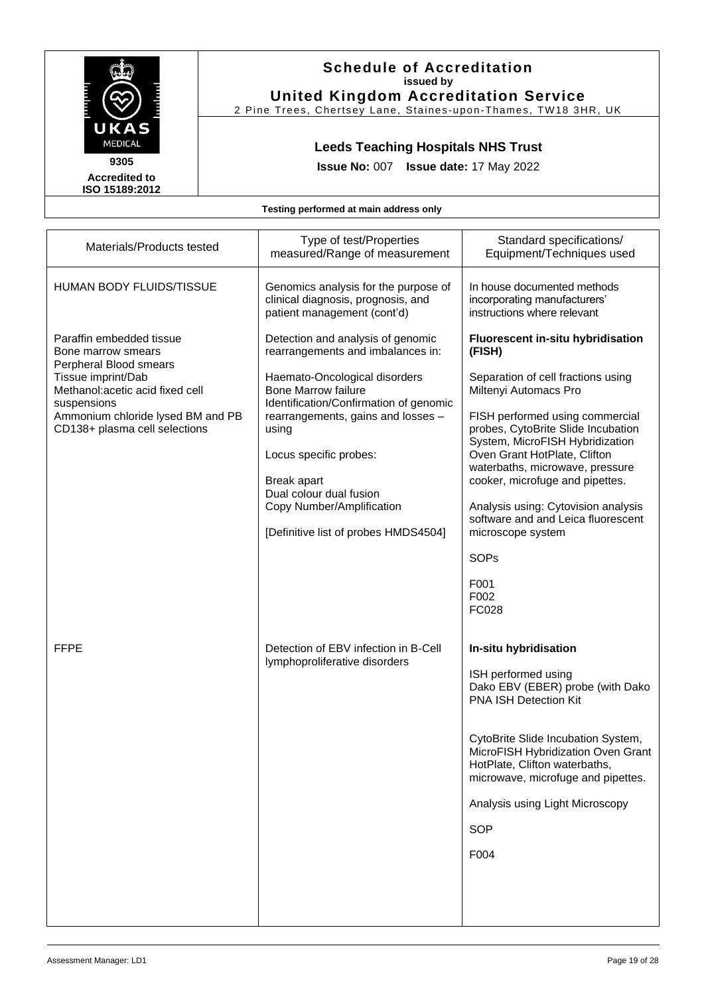

2 Pine Trees, Chertsey Lane, Staines -upon -Thames, TW18 3HR, UK

# **Leeds Teaching Hospitals NHS Trust**

**Issue No:** 007 **Issue date:** 17 May 2022

**Accredited to ISO 15189:2012** 

| Materials/Products tested                                                                                                                                                                                               | Type of test/Properties<br>measured/Range of measurement                                                                                                                                                                                                                                                                                                                | Standard specifications/<br>Equipment/Techniques used                                                                                                                                                                                                                                                                                                                                                                                                           |
|-------------------------------------------------------------------------------------------------------------------------------------------------------------------------------------------------------------------------|-------------------------------------------------------------------------------------------------------------------------------------------------------------------------------------------------------------------------------------------------------------------------------------------------------------------------------------------------------------------------|-----------------------------------------------------------------------------------------------------------------------------------------------------------------------------------------------------------------------------------------------------------------------------------------------------------------------------------------------------------------------------------------------------------------------------------------------------------------|
| HUMAN BODY FLUIDS/TISSUE                                                                                                                                                                                                | Genomics analysis for the purpose of<br>clinical diagnosis, prognosis, and<br>patient management (cont'd)                                                                                                                                                                                                                                                               | In house documented methods<br>incorporating manufacturers'<br>instructions where relevant                                                                                                                                                                                                                                                                                                                                                                      |
| Paraffin embedded tissue<br>Bone marrow smears<br>Perpheral Blood smears<br>Tissue imprint/Dab<br>Methanol: acetic acid fixed cell<br>suspensions<br>Ammonium chloride lysed BM and PB<br>CD138+ plasma cell selections | Detection and analysis of genomic<br>rearrangements and imbalances in:<br>Haemato-Oncological disorders<br><b>Bone Marrow failure</b><br>Identification/Confirmation of genomic<br>rearrangements, gains and losses -<br>using<br>Locus specific probes:<br>Break apart<br>Dual colour dual fusion<br>Copy Number/Amplification<br>[Definitive list of probes HMDS4504] | Fluorescent in-situ hybridisation<br>(FISH)<br>Separation of cell fractions using<br>Miltenyi Automacs Pro<br>FISH performed using commercial<br>probes, CytoBrite Slide Incubation<br>System, MicroFISH Hybridization<br>Oven Grant HotPlate, Clifton<br>waterbaths, microwave, pressure<br>cooker, microfuge and pipettes.<br>Analysis using: Cytovision analysis<br>software and and Leica fluorescent<br>microscope system<br>SOPs<br>F001<br>F002<br>FC028 |
| <b>FFPE</b>                                                                                                                                                                                                             | Detection of EBV infection in B-Cell<br>lymphoproliferative disorders                                                                                                                                                                                                                                                                                                   | In-situ hybridisation<br>ISH performed using<br>Dako EBV (EBER) probe (with Dako<br><b>PNA ISH Detection Kit</b><br>CytoBrite Slide Incubation System,<br>MicroFISH Hybridization Oven Grant<br>HotPlate, Clifton waterbaths,<br>microwave, microfuge and pipettes.<br>Analysis using Light Microscopy<br><b>SOP</b><br>F004                                                                                                                                    |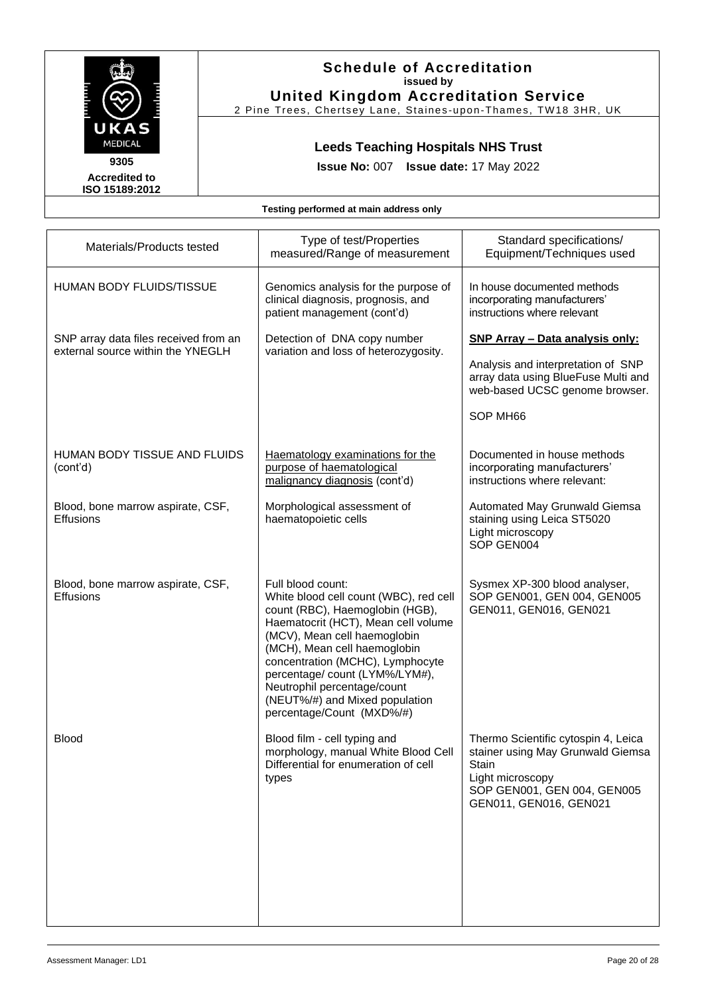

2 Pine Trees, Chertsey Lane, Staines -upon -Thames, TW18 3HR, UK

# **Leeds Teaching Hospitals NHS Trust**

**Issue No:** 007 **Issue date:** 17 May 2022

**Accredited to ISO 15189:2012** 

| Materials/Products tested                                                  | Type of test/Properties<br>measured/Range of measurement                                                                                                                                                                                                                                                                                                                  | Standard specifications/<br>Equipment/Techniques used                                                                                                          |
|----------------------------------------------------------------------------|---------------------------------------------------------------------------------------------------------------------------------------------------------------------------------------------------------------------------------------------------------------------------------------------------------------------------------------------------------------------------|----------------------------------------------------------------------------------------------------------------------------------------------------------------|
| <b>HUMAN BODY FLUIDS/TISSUE</b>                                            | Genomics analysis for the purpose of<br>clinical diagnosis, prognosis, and<br>patient management (cont'd)                                                                                                                                                                                                                                                                 | In house documented methods<br>incorporating manufacturers'<br>instructions where relevant                                                                     |
| SNP array data files received from an<br>external source within the YNEGLH | Detection of DNA copy number<br>variation and loss of heterozygosity.                                                                                                                                                                                                                                                                                                     | SNP Array - Data analysis only:<br>Analysis and interpretation of SNP<br>array data using BlueFuse Multi and<br>web-based UCSC genome browser.<br>SOP MH66     |
| HUMAN BODY TISSUE AND FLUIDS<br>(cont'd)                                   | Haematology examinations for the<br>purpose of haematological<br>malignancy diagnosis (cont'd)                                                                                                                                                                                                                                                                            | Documented in house methods<br>incorporating manufacturers'<br>instructions where relevant:                                                                    |
| Blood, bone marrow aspirate, CSF,<br><b>Effusions</b>                      | Morphological assessment of<br>haematopoietic cells                                                                                                                                                                                                                                                                                                                       | Automated May Grunwald Giemsa<br>staining using Leica ST5020<br>Light microscopy<br>SOP GEN004                                                                 |
| Blood, bone marrow aspirate, CSF,<br><b>Effusions</b>                      | Full blood count:<br>White blood cell count (WBC), red cell<br>count (RBC), Haemoglobin (HGB),<br>Haematocrit (HCT), Mean cell volume<br>(MCV), Mean cell haemoglobin<br>(MCH), Mean cell haemoglobin<br>concentration (MCHC), Lymphocyte<br>percentage/ count (LYM%/LYM#),<br>Neutrophil percentage/count<br>(NEUT%/#) and Mixed population<br>percentage/Count (MXD%/#) | Sysmex XP-300 blood analyser,<br>SOP GEN001, GEN 004, GEN005<br>GEN011, GEN016, GEN021                                                                         |
| <b>Blood</b>                                                               | Blood film - cell typing and<br>morphology, manual White Blood Cell<br>Differential for enumeration of cell<br>types                                                                                                                                                                                                                                                      | Thermo Scientific cytospin 4, Leica<br>stainer using May Grunwald Giemsa<br>Stain<br>Light microscopy<br>SOP GEN001, GEN 004, GEN005<br>GEN011, GEN016, GEN021 |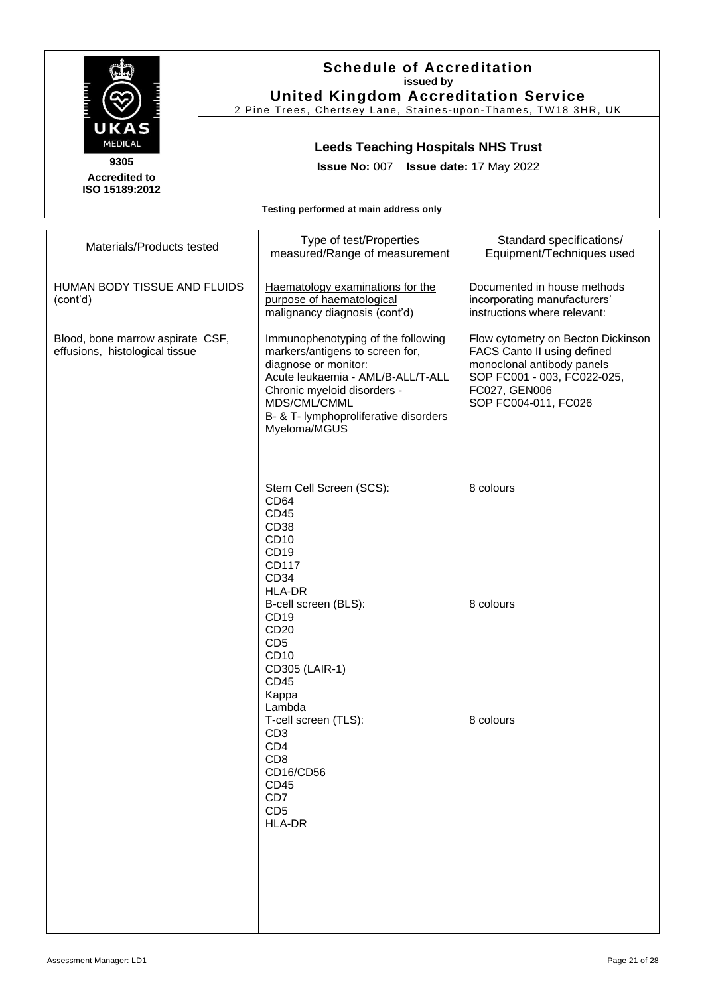

2 Pine Trees, Chertsey Lane, Staines -upon -Thames, TW18 3HR, UK

# **Leeds Teaching Hospitals NHS Trust**

**Issue No:** 007 **Issue date:** 17 May 2022

**Accredited to ISO 15189:2012** 

| Materials/Products tested                                          | Type of test/Properties<br>measured/Range of measurement                                                                                                                                                                                   | Standard specifications/<br>Equipment/Techniques used                                                                                                                   |
|--------------------------------------------------------------------|--------------------------------------------------------------------------------------------------------------------------------------------------------------------------------------------------------------------------------------------|-------------------------------------------------------------------------------------------------------------------------------------------------------------------------|
| HUMAN BODY TISSUE AND FLUIDS<br>(cont'd)                           | Haematology examinations for the<br>purpose of haematological<br>malignancy diagnosis (cont'd)                                                                                                                                             | Documented in house methods<br>incorporating manufacturers'<br>instructions where relevant:                                                                             |
| Blood, bone marrow aspirate CSF,<br>effusions, histological tissue | Immunophenotyping of the following<br>markers/antigens to screen for,<br>diagnose or monitor:<br>Acute leukaemia - AML/B-ALL/T-ALL<br>Chronic myeloid disorders -<br>MDS/CML/CMML<br>B- & T- lymphoproliferative disorders<br>Myeloma/MGUS | Flow cytometry on Becton Dickinson<br>FACS Canto II using defined<br>monoclonal antibody panels<br>SOP FC001 - 003, FC022-025,<br>FC027, GEN006<br>SOP FC004-011, FC026 |
|                                                                    | Stem Cell Screen (SCS):<br>CD64<br>CD45<br>CD38<br>CD10<br>CD19<br>CD117<br>CD34                                                                                                                                                           | 8 colours                                                                                                                                                               |
|                                                                    | HLA-DR<br>B-cell screen (BLS):<br>CD <sub>19</sub><br>CD <sub>20</sub><br>CD <sub>5</sub><br>CD10<br>CD305 (LAIR-1)<br><b>CD45</b><br>Kappa<br>Lambda                                                                                      | 8 colours                                                                                                                                                               |
|                                                                    | T-cell screen (TLS):<br>CD <sub>3</sub><br>CD <sub>4</sub><br>CD <sub>8</sub><br>CD16/CD56<br>CD45<br>CD7<br>CD <sub>5</sub><br>HLA-DR                                                                                                     | 8 colours                                                                                                                                                               |
|                                                                    |                                                                                                                                                                                                                                            |                                                                                                                                                                         |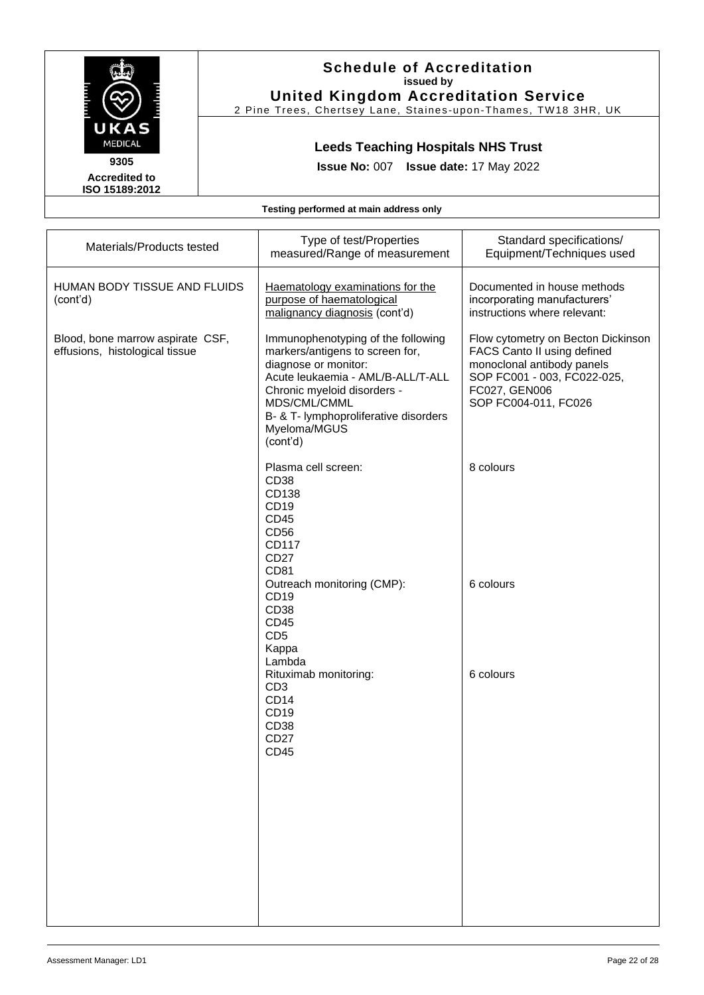

2 Pine Trees, Chertsey Lane, Staines -upon -Thames, TW18 3HR, UK

# **Leeds Teaching Hospitals NHS Trust**

**Issue No:** 007 **Issue date:** 17 May 2022

**Accredited to ISO 15189:2012** 

| Materials/Products tested                                          | Type of test/Properties<br>measured/Range of measurement                                                                                                                                                                                               | Standard specifications/<br>Equipment/Techniques used                                                                                                                   |
|--------------------------------------------------------------------|--------------------------------------------------------------------------------------------------------------------------------------------------------------------------------------------------------------------------------------------------------|-------------------------------------------------------------------------------------------------------------------------------------------------------------------------|
| HUMAN BODY TISSUE AND FLUIDS<br>(cont'd)                           | Haematology examinations for the<br>purpose of haematological<br>malignancy diagnosis (cont'd)                                                                                                                                                         | Documented in house methods<br>incorporating manufacturers'<br>instructions where relevant:                                                                             |
| Blood, bone marrow aspirate CSF,<br>effusions, histological tissue | Immunophenotyping of the following<br>markers/antigens to screen for,<br>diagnose or monitor:<br>Acute leukaemia - AML/B-ALL/T-ALL<br>Chronic myeloid disorders -<br>MDS/CML/CMML<br>B- & T- lymphoproliferative disorders<br>Myeloma/MGUS<br>(cont'd) | Flow cytometry on Becton Dickinson<br>FACS Canto II using defined<br>monoclonal antibody panels<br>SOP FC001 - 003, FC022-025,<br>FC027, GEN006<br>SOP FC004-011, FC026 |
|                                                                    | Plasma cell screen:<br>CD <sub>38</sub><br>CD138<br>CD19<br><b>CD45</b><br>CD56<br>CD117<br><b>CD27</b><br>CD81                                                                                                                                        | 8 colours                                                                                                                                                               |
|                                                                    | Outreach monitoring (CMP):<br>CD <sub>19</sub><br>CD38<br>CD45<br>CD <sub>5</sub><br>Kappa<br>Lambda                                                                                                                                                   | 6 colours                                                                                                                                                               |
|                                                                    | Rituximab monitoring:<br>CD <sub>3</sub><br>CD <sub>14</sub><br>CD <sub>19</sub><br>CD38<br><b>CD27</b><br><b>CD45</b>                                                                                                                                 | 6 colours                                                                                                                                                               |
|                                                                    |                                                                                                                                                                                                                                                        |                                                                                                                                                                         |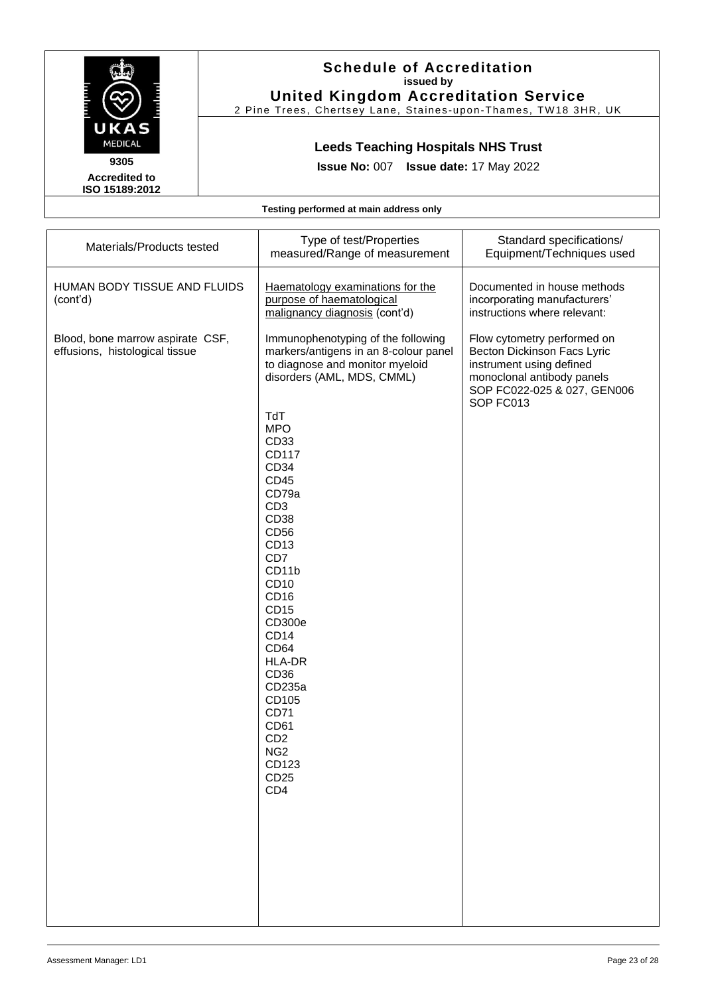

2 Pine Trees, Chertsey Lane, Staines -upon -Thames, TW18 3HR, UK

# **Leeds Teaching Hospitals NHS Trust**

**Issue No:** 007 **Issue date:** 17 May 2022

**Accredited to ISO 15189:2012** 

| Materials/Products tested                                          | Type of test/Properties<br>measured/Range of measurement                                                                                                                                                                                                                                                                                                                                                                                                                                                                          | Standard specifications/<br>Equipment/Techniques used                                                                                                            |
|--------------------------------------------------------------------|-----------------------------------------------------------------------------------------------------------------------------------------------------------------------------------------------------------------------------------------------------------------------------------------------------------------------------------------------------------------------------------------------------------------------------------------------------------------------------------------------------------------------------------|------------------------------------------------------------------------------------------------------------------------------------------------------------------|
| HUMAN BODY TISSUE AND FLUIDS<br>(cont'd)                           | Haematology examinations for the<br>purpose of haematological<br>malignancy diagnosis (cont'd)                                                                                                                                                                                                                                                                                                                                                                                                                                    | Documented in house methods<br>incorporating manufacturers'<br>instructions where relevant:                                                                      |
| Blood, bone marrow aspirate CSF,<br>effusions, histological tissue | Immunophenotyping of the following<br>markers/antigens in an 8-colour panel<br>to diagnose and monitor myeloid<br>disorders (AML, MDS, CMML)<br>TdT<br><b>MPO</b><br>CD33<br>CD117<br>CD <sub>34</sub><br>CD45<br>CD79a<br>CD <sub>3</sub><br>CD38<br>CD56<br>CD <sub>13</sub><br>CD7<br>CD11b<br>CD10<br>CD <sub>16</sub><br>CD15<br>CD300e<br>CD <sub>14</sub><br>CD64<br><b>HLA-DR</b><br>CD <sub>36</sub><br>CD235a<br>CD105<br><b>CD71</b><br>CD61<br>CD <sub>2</sub><br>NG <sub>2</sub><br>CD123<br>CD25<br>CD <sub>4</sub> | Flow cytometry performed on<br>Becton Dickinson Facs Lyric<br>instrument using defined<br>monoclonal antibody panels<br>SOP FC022-025 & 027, GEN006<br>SOP FC013 |
|                                                                    |                                                                                                                                                                                                                                                                                                                                                                                                                                                                                                                                   |                                                                                                                                                                  |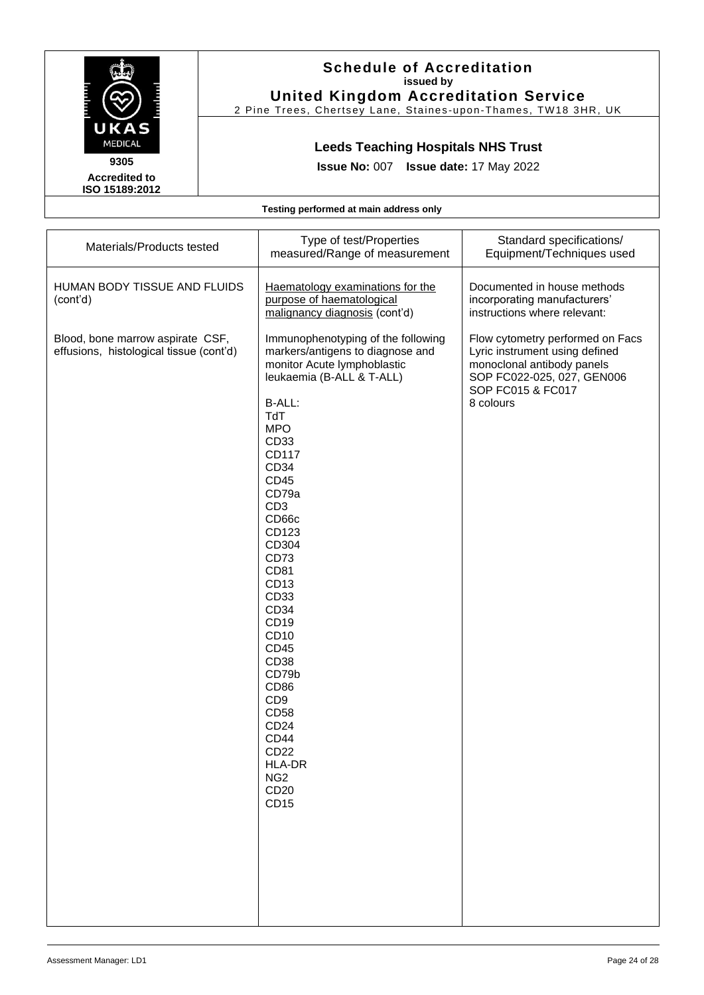

2 Pine Trees, Chertsey Lane, Staines -upon -Thames, TW18 3HR, UK

# **Leeds Teaching Hospitals NHS Trust**

**Issue No:** 007 **Issue date:** 17 May 2022

**Accredited to ISO 15189:2012** 

| Materials/Products tested                                                   | Type of test/Properties<br>measured/Range of measurement                                                                                                                                                                                                                                                                                                                                                                                                                                                                         | Standard specifications/<br>Equipment/Techniques used                                                                                                            |
|-----------------------------------------------------------------------------|----------------------------------------------------------------------------------------------------------------------------------------------------------------------------------------------------------------------------------------------------------------------------------------------------------------------------------------------------------------------------------------------------------------------------------------------------------------------------------------------------------------------------------|------------------------------------------------------------------------------------------------------------------------------------------------------------------|
| HUMAN BODY TISSUE AND FLUIDS<br>(cont'd)                                    | Haematology examinations for the<br>purpose of haematological<br>malignancy diagnosis (cont'd)                                                                                                                                                                                                                                                                                                                                                                                                                                   | Documented in house methods<br>incorporating manufacturers'<br>instructions where relevant:                                                                      |
| Blood, bone marrow aspirate CSF,<br>effusions, histological tissue (cont'd) | Immunophenotyping of the following<br>markers/antigens to diagnose and<br>monitor Acute lymphoblastic<br>leukaemia (B-ALL & T-ALL)<br>B-ALL:<br>TdT<br><b>MPO</b><br>CD33<br>CD117<br>CD34<br><b>CD45</b><br>CD79a<br>CD <sub>3</sub><br>CD66c<br>CD123<br>CD304<br>CD73<br>CD81<br>CD13<br>CD33<br>CD34<br>CD <sub>19</sub><br>CD10<br><b>CD45</b><br>CD38<br>CD79b<br>CD <sub>86</sub><br>CD <sub>9</sub><br><b>CD58</b><br>CD24<br><b>CD44</b><br>CD22<br><b>HLA-DR</b><br>NG <sub>2</sub><br>CD <sub>20</sub><br><b>CD15</b> | Flow cytometry performed on Facs<br>Lyric instrument using defined<br>monoclonal antibody panels<br>SOP FC022-025, 027, GEN006<br>SOP FC015 & FC017<br>8 colours |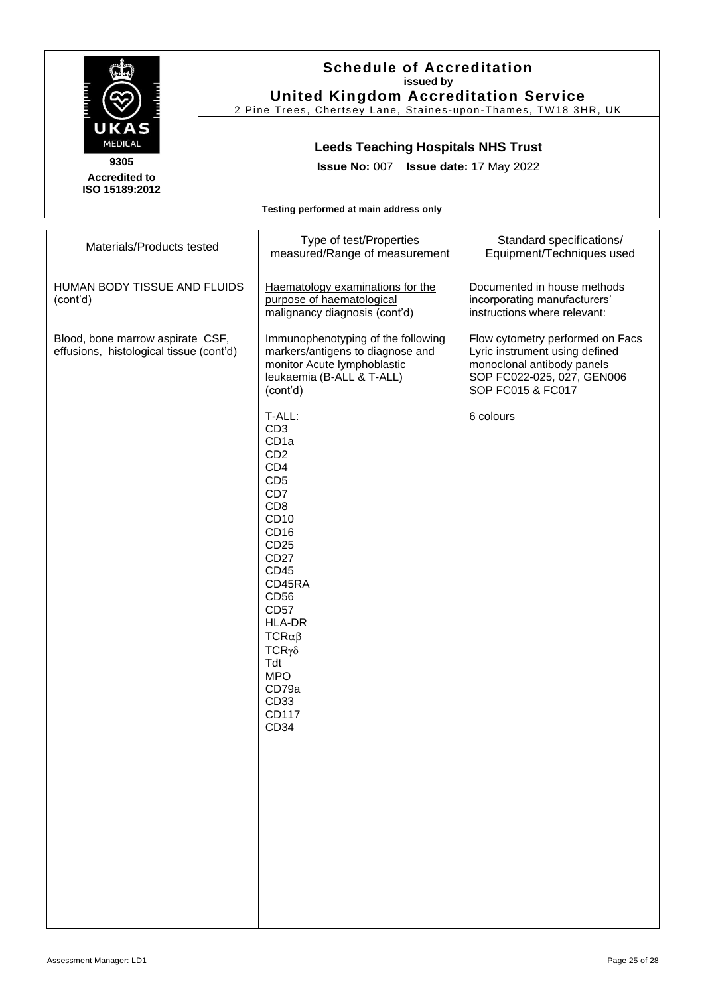

2 Pine Trees, Chertsey Lane, Staines -upon -Thames, TW18 3HR, UK

# **Leeds Teaching Hospitals NHS Trust**

**Issue No:** 007 **Issue date:** 17 May 2022

**Accredited to ISO 15189:2012** 

| Materials/Products tested                                                   | Type of test/Properties<br>measured/Range of measurement                                                                                                                                                                                                                                                                                                                | Standard specifications/<br>Equipment/Techniques used                                                                                               |
|-----------------------------------------------------------------------------|-------------------------------------------------------------------------------------------------------------------------------------------------------------------------------------------------------------------------------------------------------------------------------------------------------------------------------------------------------------------------|-----------------------------------------------------------------------------------------------------------------------------------------------------|
| HUMAN BODY TISSUE AND FLUIDS<br>(cont'd)                                    | Haematology examinations for the<br>purpose of haematological<br>malignancy diagnosis (cont'd)                                                                                                                                                                                                                                                                          | Documented in house methods<br>incorporating manufacturers'<br>instructions where relevant:                                                         |
| Blood, bone marrow aspirate CSF,<br>effusions, histological tissue (cont'd) | Immunophenotyping of the following<br>markers/antigens to diagnose and<br>monitor Acute lymphoblastic<br>leukaemia (B-ALL & T-ALL)<br>(cont'd)                                                                                                                                                                                                                          | Flow cytometry performed on Facs<br>Lyric instrument using defined<br>monoclonal antibody panels<br>SOP FC022-025, 027, GEN006<br>SOP FC015 & FC017 |
|                                                                             | T-ALL:<br>CD <sub>3</sub><br>CD <sub>1a</sub><br>CD <sub>2</sub><br>CD <sub>4</sub><br>CD <sub>5</sub><br>CD7<br>CD <sub>8</sub><br>CD10<br>CD <sub>16</sub><br>CD <sub>25</sub><br><b>CD27</b><br><b>CD45</b><br>CD45RA<br><b>CD56</b><br><b>CD57</b><br><b>HLA-DR</b><br>$TCR\alpha\beta$<br>$TCR\gamma\delta$<br>Tdt<br><b>MPO</b><br>CD79a<br>CD33<br>CD117<br>CD34 | 6 colours                                                                                                                                           |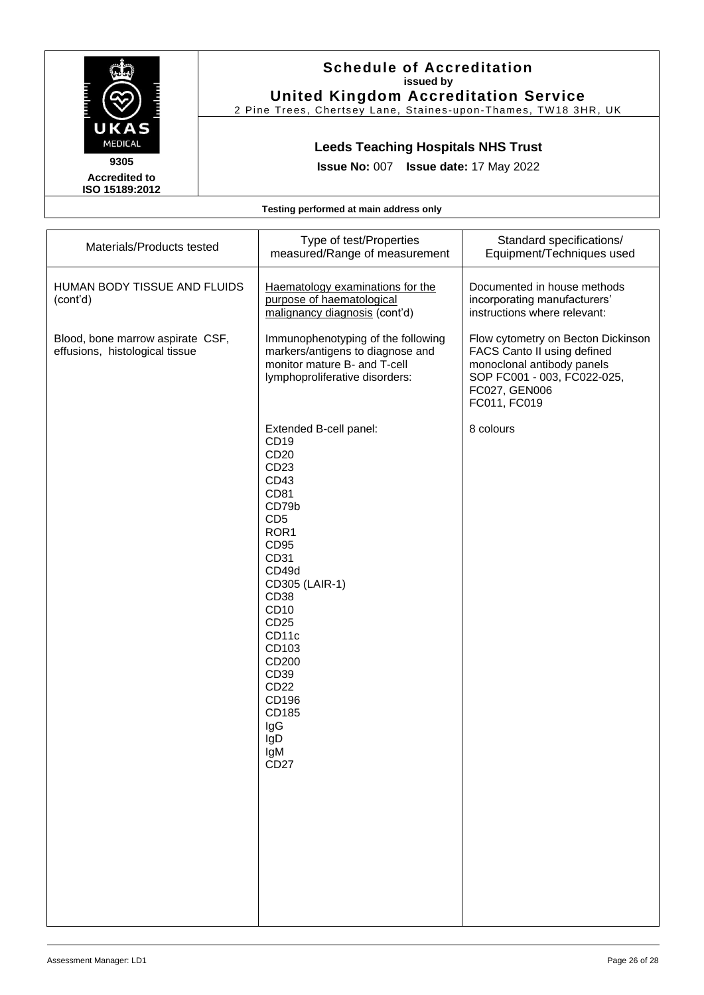

2 Pine Trees, Chertsey Lane, Staines -upon -Thames, TW18 3HR, UK

# **Leeds Teaching Hospitals NHS Trust**

**Issue No:** 007 **Issue date:** 17 May 2022

**Accredited to ISO 15189:2012** 

| Materials/Products tested                                          | Type of test/Properties<br>measured/Range of measurement                                                                                                                                                                                                                                            | Standard specifications/<br>Equipment/Techniques used                                                                                                           |
|--------------------------------------------------------------------|-----------------------------------------------------------------------------------------------------------------------------------------------------------------------------------------------------------------------------------------------------------------------------------------------------|-----------------------------------------------------------------------------------------------------------------------------------------------------------------|
| HUMAN BODY TISSUE AND FLUIDS<br>(cont'd)                           | Haematology examinations for the<br>purpose of haematological<br>malignancy diagnosis (cont'd)                                                                                                                                                                                                      | Documented in house methods<br>incorporating manufacturers'<br>instructions where relevant:                                                                     |
| Blood, bone marrow aspirate CSF,<br>effusions, histological tissue | Immunophenotyping of the following<br>markers/antigens to diagnose and<br>monitor mature B- and T-cell<br>lymphoproliferative disorders:                                                                                                                                                            | Flow cytometry on Becton Dickinson<br>FACS Canto II using defined<br>monoclonal antibody panels<br>SOP FC001 - 003, FC022-025,<br>FC027, GEN006<br>FC011, FC019 |
|                                                                    | Extended B-cell panel:<br>CD19<br>CD <sub>20</sub><br>CD23<br>CD43<br>CD81<br>CD79b<br>CD <sub>5</sub><br>ROR <sub>1</sub><br>CD95<br>CD31<br>CD49d<br>CD305 (LAIR-1)<br>CD38<br>CD10<br>CD <sub>25</sub><br>CD11c<br>CD103<br>CD200<br>CD39<br>CD22<br>CD196<br>CD185<br>IgG<br>IgD<br>lgM<br>CD27 | 8 colours                                                                                                                                                       |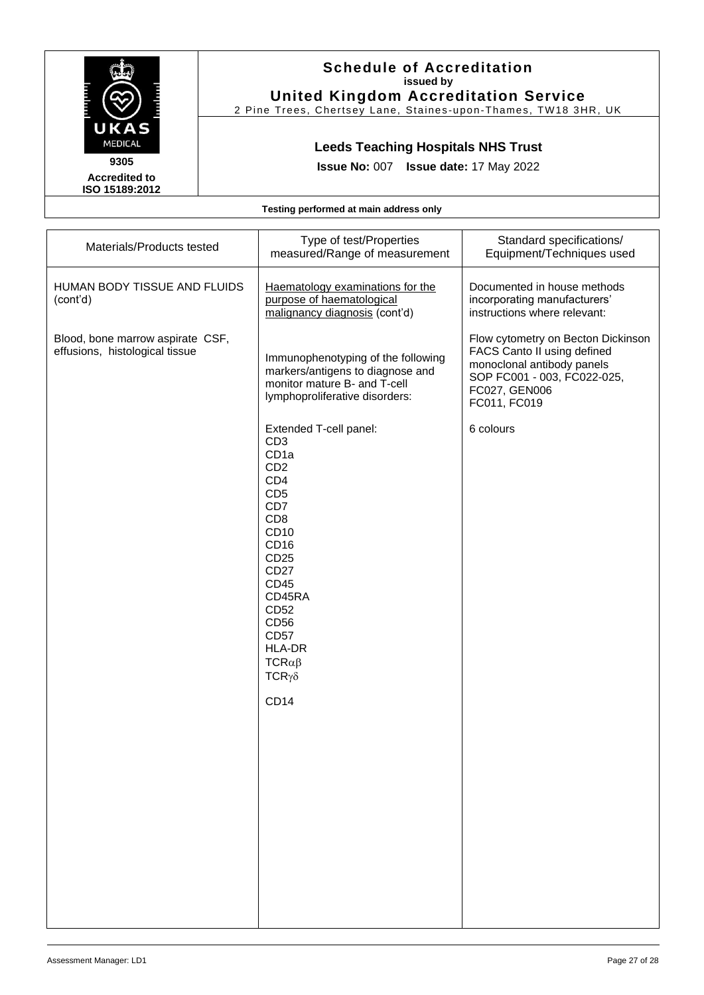

2 Pine Trees, Chertsey Lane, Staines -upon -Thames, TW18 3HR, UK

# **Leeds Teaching Hospitals NHS Trust**

**Issue No:** 007 **Issue date:** 17 May 2022

**Accredited to ISO 15189:2012** 

| Materials/Products tested                                          | Type of test/Properties<br>measured/Range of measurement                                                                                                                                                                                                                                                                             | Standard specifications/<br>Equipment/Techniques used                                                                                                           |
|--------------------------------------------------------------------|--------------------------------------------------------------------------------------------------------------------------------------------------------------------------------------------------------------------------------------------------------------------------------------------------------------------------------------|-----------------------------------------------------------------------------------------------------------------------------------------------------------------|
| HUMAN BODY TISSUE AND FLUIDS<br>(cont'd)                           | Haematology examinations for the<br>purpose of haematological<br>malignancy diagnosis (cont'd)                                                                                                                                                                                                                                       | Documented in house methods<br>incorporating manufacturers'<br>instructions where relevant:                                                                     |
| Blood, bone marrow aspirate CSF,<br>effusions, histological tissue | Immunophenotyping of the following<br>markers/antigens to diagnose and<br>monitor mature B- and T-cell<br>lymphoproliferative disorders:                                                                                                                                                                                             | Flow cytometry on Becton Dickinson<br>FACS Canto II using defined<br>monoclonal antibody panels<br>SOP FC001 - 003, FC022-025,<br>FC027, GEN006<br>FC011, FC019 |
|                                                                    | Extended T-cell panel:<br>CD <sub>3</sub><br>CD <sub>1a</sub><br>CD <sub>2</sub><br>CD4<br>CD <sub>5</sub><br>CD7<br>CD <sub>8</sub><br>CD10<br>CD <sub>16</sub><br>CD <sub>25</sub><br><b>CD27</b><br><b>CD45</b><br>CD45RA<br>CD52<br>CD56<br><b>CD57</b><br><b>HLA-DR</b><br>$TCR\alpha\beta$<br>$TCR\gamma\delta$<br><b>CD14</b> | 6 colours                                                                                                                                                       |